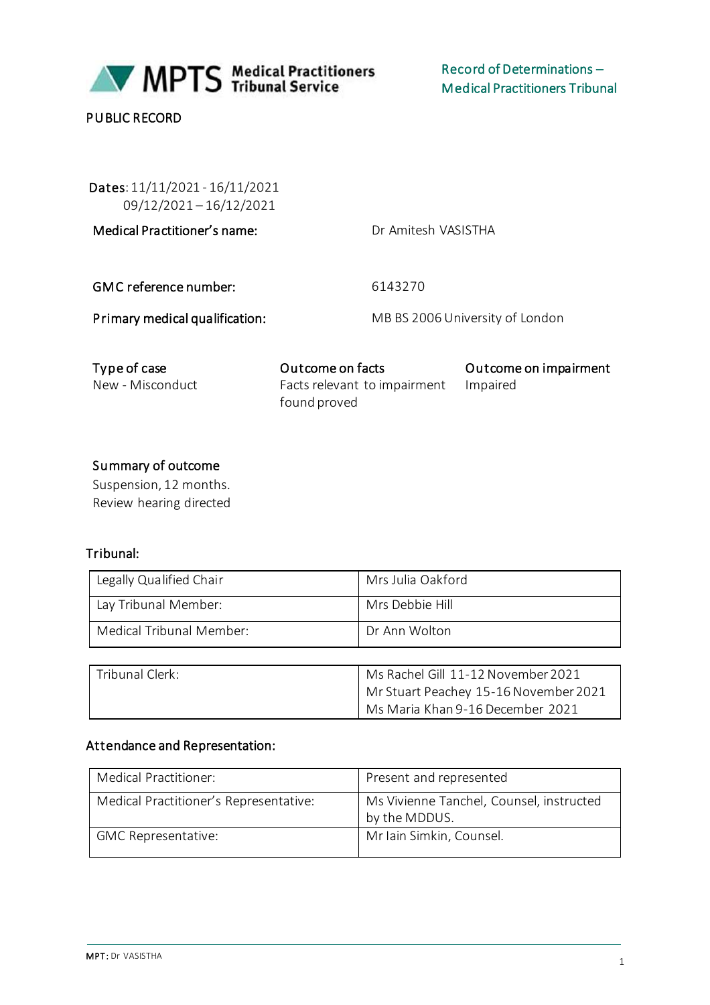

PUBLIC RECORD

 Dates: 11/11/2021 - 16/11/2021 09/12/2021 – 16/12/2021

Medical Practitioner's name: Dr Amitesh VASISTHA

GMC reference number: 6143270

Primary medical qualification: MB BS 2006 University of London

| Type of case     | Outcome on facts             | Outcome on impairment |
|------------------|------------------------------|-----------------------|
| New - Misconduct | Facts relevant to impairment | Impaired              |
|                  | found proved                 |                       |

### Summary of outcome

Suspension, 12 months. Review hearing directed

### Tribunal:

| Legally Qualified Chair  | Mrs Julia Oakford |
|--------------------------|-------------------|
| Lay Tribunal Member:     | Mrs Debbie Hill   |
| Medical Tribunal Member: | Dr Ann Wolton     |
|                          |                   |

| Tribunal Clerk: | Ms Rachel Gill 11-12 November 2021    |
|-----------------|---------------------------------------|
|                 | Mr Stuart Peachey 15-16 November 2021 |
|                 | Ms Maria Khan 9-16 December 2021      |

#### Attendance and Representation:

| Medical Practitioner:                  | Present and represented                                   |
|----------------------------------------|-----------------------------------------------------------|
| Medical Practitioner's Representative: | Ms Vivienne Tanchel, Counsel, instructed<br>by the MDDUS. |
| <b>GMC Representative:</b>             | Mr Iain Simkin, Counsel.                                  |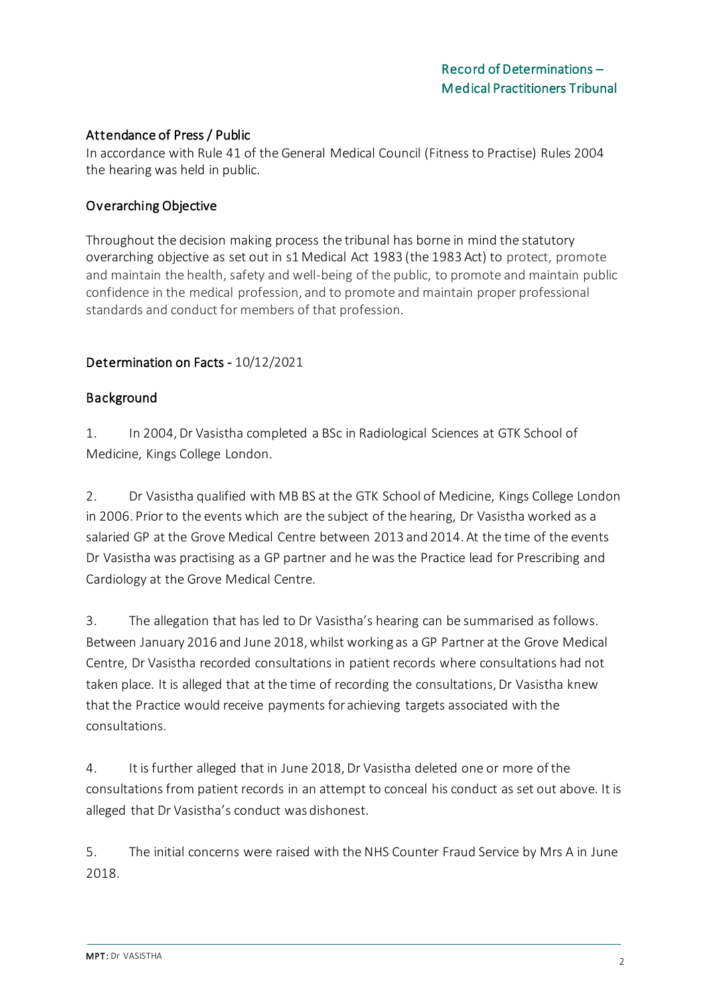### Attendance of Press / Public

In accordance with Rule 41 of the General Medical Council (Fitness to Practise) Rules 2004 the hearing was held in public.

### Overarching Objective

Throughout the decision making process the tribunal has borne in mind the statutory overarching objective as set out in s1 Medical Act 1983 (the 1983 Act) to protect, promote and maintain the health, safety and well-being of the public, to promote and maintain public confidence in the medical profession, and to promote and maintain proper professional standards and conduct for members of that profession.

### Determination on Facts - 10/12/2021

### Background

1. In 2004, Dr Vasistha completed a BSc in Radiological Sciences at GTK School of Medicine, Kings College London.

2. Dr Vasistha qualified with MB BS at the GTK School of Medicine, Kings College London in 2006. Prior to the events which are the subject of the hearing, Dr Vasistha worked as a salaried GP at the Grove Medical Centre between 2013 and 2014. At the time of the events Dr Vasistha was practising as a GP partner and he was the Practice lead for Prescribing and Cardiology at the Grove Medical Centre.

3. The allegation that has led to Dr Vasistha's hearing can be summarised as follows. Between January 2016 and June 2018, whilst working as a GP Partner at the Grove Medical Centre, Dr Vasistha recorded consultations in patient records where consultations had not taken place. It is alleged that at the time of recording the consultations, Dr Vasistha knew that the Practice would receive payments for achieving targets associated with the consultations.

4. It is further alleged that in June 2018, Dr Vasistha deleted one or more of the consultations from patient records in an attempt to conceal his conduct as set out above. It is alleged that Dr Vasistha's conduct was dishonest.

5. The initial concerns were raised with the NHS Counter Fraud Service by Mrs A in June 2018.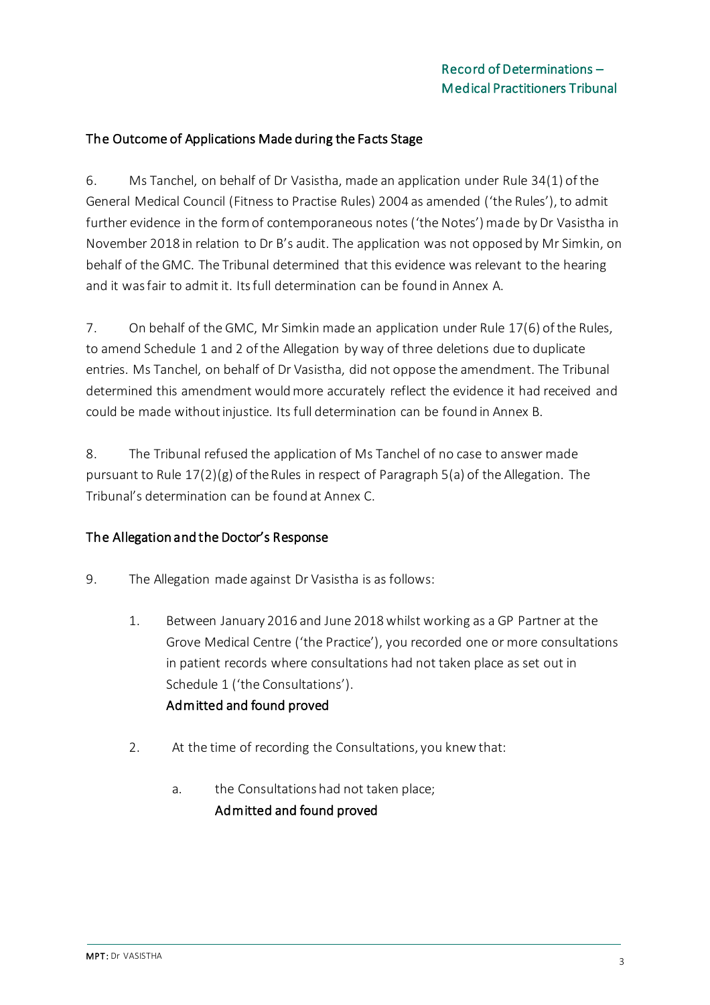### The Outcome of Applications Made during the Facts Stage

6. Ms Tanchel, on behalf of Dr Vasistha, made an application under Rule 34(1) of the General Medical Council (Fitness to Practise Rules) 2004 as amended ('the Rules'), to admit further evidence in the form of contemporaneous notes ('the Notes') made by Dr Vasistha in November 2018 in relation to Dr B's audit. The application was not opposed by Mr Simkin, on behalf of the GMC. The Tribunal determined that this evidence was relevant to the hearing and it was fair to admit it. Its full determination can be found in Annex A.

7. On behalf of the GMC, Mr Simkin made an application under Rule 17(6) of the Rules, to amend Schedule 1 and 2 of the Allegation by way of three deletions due to duplicate entries. Ms Tanchel, on behalf of Dr Vasistha, did not oppose the amendment. The Tribunal determined this amendment would more accurately reflect the evidence it had received and could be made without injustice. Its full determination can be found in Annex B.

8. The Tribunal refused the application of Ms Tanchel of no case to answer made pursuant to Rule  $17(2)(g)$  of the Rules in respect of Paragraph 5(a) of the Allegation. The Tribunal's determination can be found at Annex C.

### The Allegation and the Doctor's Response

- 9. The Allegation made against Dr Vasistha is as follows:
	- 1. Between January 2016 and June 2018 whilst working as a GP Partner at the Grove Medical Centre ('the Practice'), you recorded one or more consultations in patient records where consultations had not taken place as set out in Schedule 1 ('the Consultations'). Admitted and found proved
	- 2. At the time of recording the Consultations, you knew that:
		- a. the Consultations had not taken place; Admitted and found proved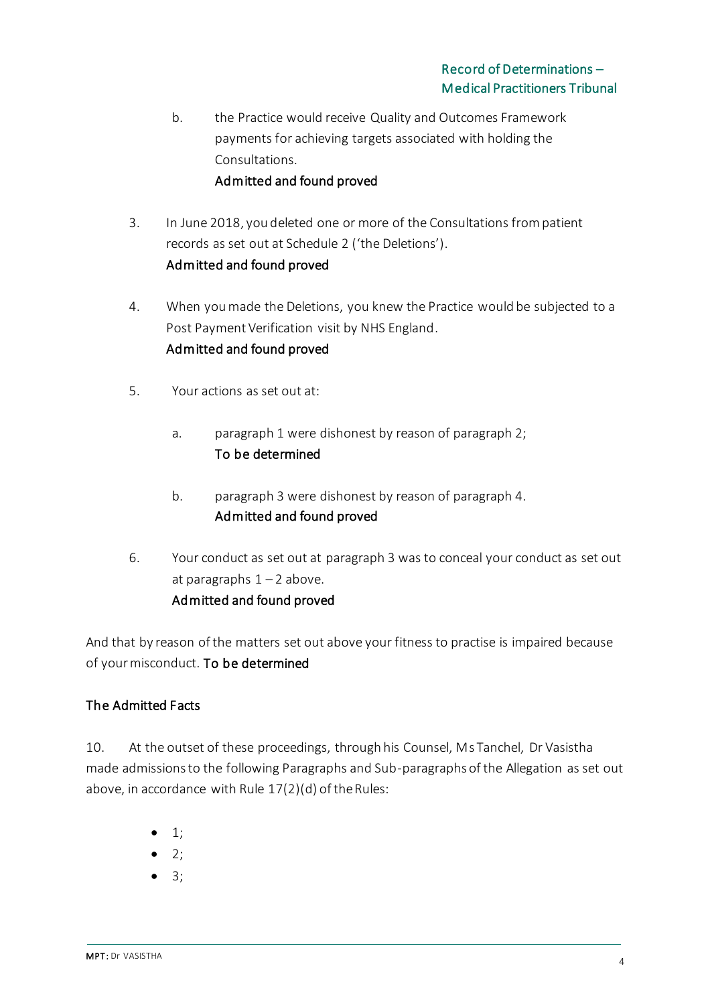- b. the Practice would receive Quality and Outcomes Framework payments for achieving targets associated with holding the Consultations. Admitted and found proved
- 3. In June 2018, you deleted one or more of the Consultations from patient records as set out at Schedule 2 ('the Deletions'). Admitted and found proved
- 4. When you made the Deletions, you knew the Practice would be subjected to a Post Payment Verification visit by NHS England. Admitted and found proved
- 5. Your actions as set out at:
	- a. paragraph 1 were dishonest by reason of paragraph 2; To be determined
	- b. paragraph 3 were dishonest by reason of paragraph 4. Admitted and found proved
- 6. Your conduct as set out at paragraph 3 was to conceal your conduct as set out at paragraphs  $1 - 2$  above. Admitted and found proved

And that by reason of the matters set out above your fitness to practise is impaired because of your misconduct. To be determined

## The Admitted Facts

10. At the outset of these proceedings, through his Counsel, Ms Tanchel, Dr Vasistha made admissions to the following Paragraphs and Sub-paragraphs of the Allegation as set out above, in accordance with Rule 17(2)(d) of the Rules:

- $\bullet$  1;
- $\bullet$  2;
- 3;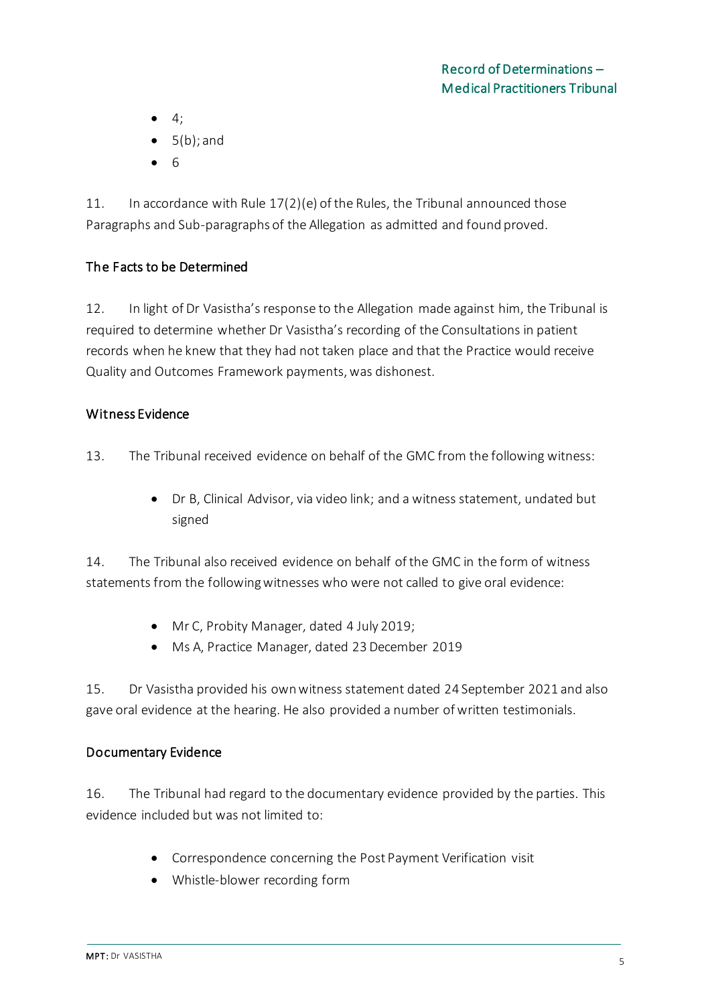- $\bullet$  4;
- $\bullet$  5(b): and
- 6

11. In accordance with Rule 17(2)(e) of the Rules, the Tribunal announced those Paragraphs and Sub-paragraphs of the Allegation as admitted and found proved.

## The Facts to be Determined

12. In light of Dr Vasistha's response to the Allegation made against him, the Tribunal is required to determine whether Dr Vasistha's recording of the Consultations in patient records when he knew that they had not taken place and that the Practice would receive Quality and Outcomes Framework payments, was dishonest.

## Witness Evidence

- 13. The Tribunal received evidence on behalf of the GMC from the following witness:
	- Dr B, Clinical Advisor, via video link; and a witness statement, undated but signed

14. The Tribunal also received evidence on behalf of the GMC in the form of witness statements from the following witnesses who were not called to give oral evidence:

- Mr C, Probity Manager, dated 4 July 2019;
- Ms A, Practice Manager, dated 23 December 2019

15. Dr Vasistha provided his own witness statement dated 24 September 2021 and also gave oral evidence at the hearing. He also provided a number of written testimonials.

## Documentary Evidence

16. The Tribunal had regard to the documentary evidence provided by the parties. This evidence included but was not limited to:

- Correspondence concerning the Post Payment Verification visit
- Whistle-blower recording form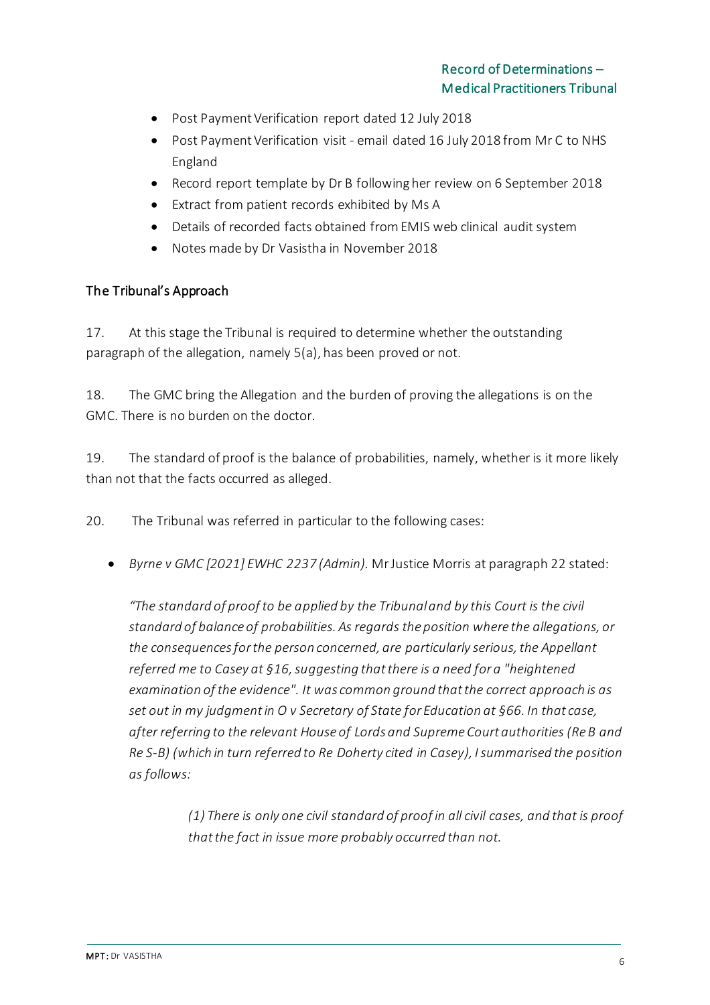- Post Payment Verification report dated 12 July 2018
- Post Payment Verification visit email dated 16 July 2018 from Mr C to NHS England
- Record report template by Dr B following her review on 6 September 2018
- Extract from patient records exhibited by Ms A
- Details of recorded facts obtained from EMIS web clinical audit system
- Notes made by Dr Vasistha in November 2018

### The Tribunal's Approach

17. At this stage the Tribunal is required to determine whether the outstanding paragraph of the allegation, namely 5(a), has been proved or not.

18. The GMC bring the Allegation and the burden of proving the allegations is on the GMC. There is no burden on the doctor.

19. The standard of proof is the balance of probabilities, namely, whether is it more likely than not that the facts occurred as alleged.

20. The Tribunal was referred in particular to the following cases:

• *Byrne v GMC [2021] EWHC 2237 (Admin).* Mr Justice Morris at paragraph 22 stated:

*"The standard of proof to be applied by the Tribunal and by this Court is the civil standard of balance of probabilities. As regards the position where the allegations, or the consequences for the person concerned, are particularly serious, the Appellant referred me to Casey at §16, suggesting that there is a need for a "heightened examination of the evidence". It was common ground that the correct approach is as set out in my judgment in O v Secretary of State for Education at §66. In that case, after referring to the relevant House of Lords and Supreme Court authorities (Re B and Re S-B) (which in turn referred to Re Doherty cited in Casey), I summarised the position as follows:*

> *(1) There is only one civil standard of proof in all civil cases, and that is proof that the fact in issue more probably occurred than not.*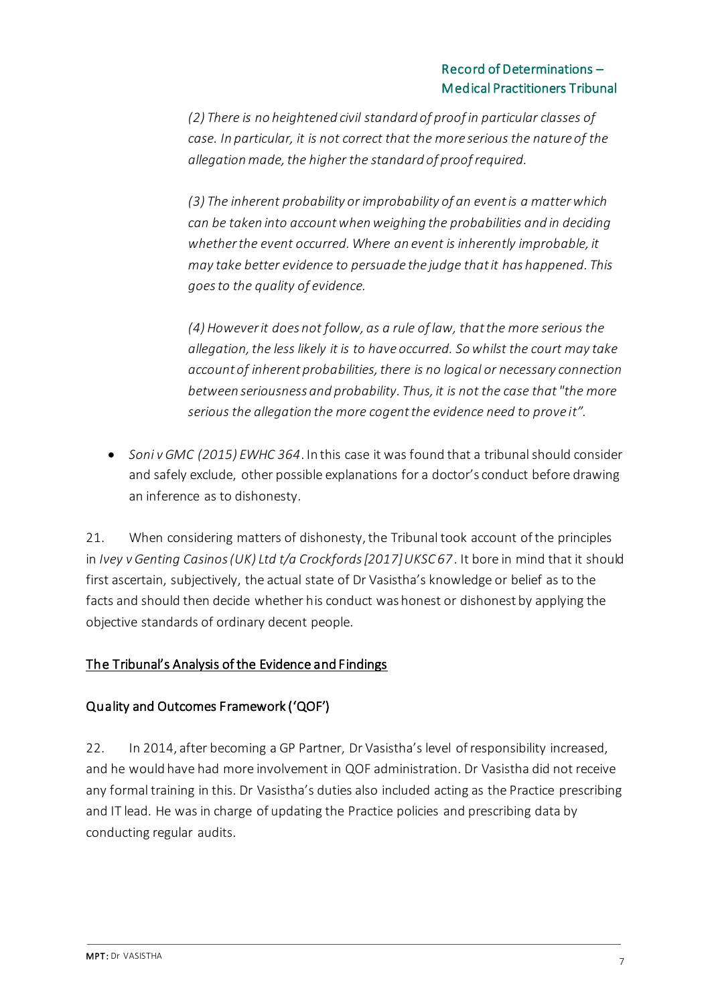*(2) There is no heightened civil standard of proof in particular classes of case. In particular, it is not correct that the more serious the nature of the allegation made, the higher the standard of proof required.*

*(3) The inherent probability or improbability of an event is a matter which can be taken into account when weighing the probabilities and in deciding whether the event occurred. Where an event is inherently improbable, it may take better evidence to persuade the judge that it has happened. This goes to the quality of evidence.*

*(4) However it does not follow, as a rule of law, that the more serious the allegation, the less likely it is to have occurred. So whilst the court may take account of inherent probabilities, there is no logical or necessary connection between seriousness and probability. Thus, it is not the case that "the more serious the allegation the more cogent the evidence need to prove it".*

• *Soni v GMC (2015) EWHC 364*. In this case it was found that a tribunal should consider and safely exclude, other possible explanations for a doctor's conduct before drawing an inference as to dishonesty.

21. When considering matters of dishonesty, the Tribunal took account of the principles in *Ivey v Genting Casinos (UK) Ltd t/a Crockfords [2017] UKSC 67*. It bore in mind that it should first ascertain, subjectively, the actual state of Dr Vasistha's knowledge or belief as to the facts and should then decide whether his conduct was honest or dishonest by applying the objective standards of ordinary decent people.

## The Tribunal's Analysis of the Evidence and Findings

## Quality and Outcomes Framework ('QOF')

22. In 2014, after becoming a GP Partner, Dr Vasistha's level of responsibility increased, and he would have had more involvement in QOF administration. Dr Vasistha did not receive any formal training in this. Dr Vasistha's duties also included acting as the Practice prescribing and IT lead. He was in charge of updating the Practice policies and prescribing data by conducting regular audits.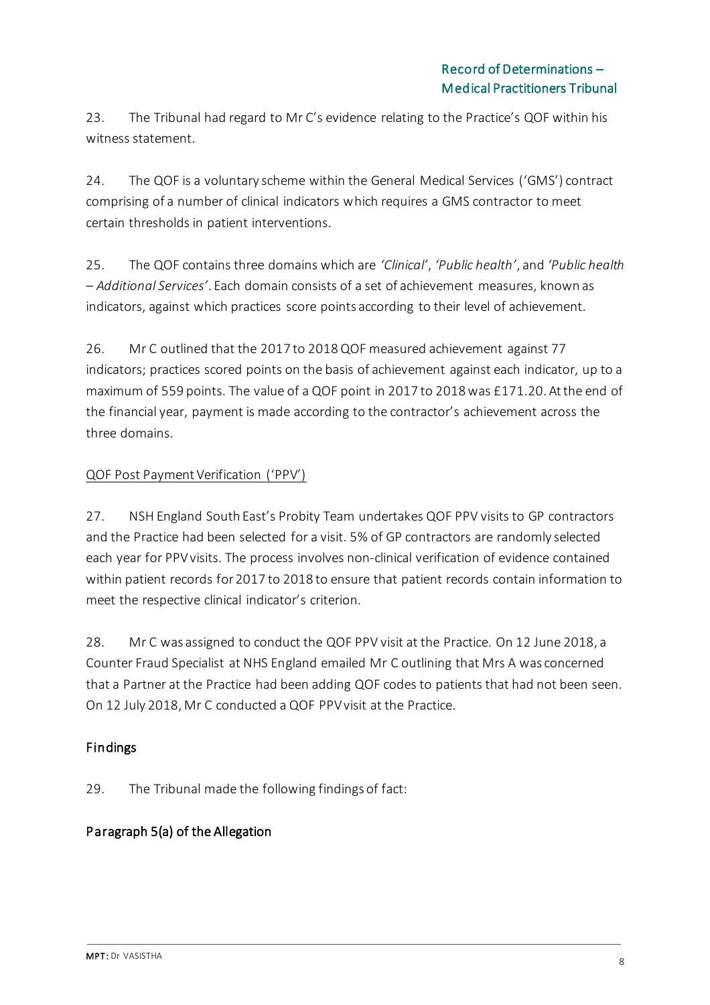23. The Tribunal had regard to Mr C's evidence relating to the Practice's QOF within his witness statement.

24. The QOF is a voluntary scheme within the General Medical Services ('GMS') contract comprising of a number of clinical indicators which requires a GMS contractor to meet certain thresholds in patient interventions.

25. The QOF contains three domains which are *'Clinical'*, *'Public health'*, and *'Public health – Additional Services'*. Each domain consists of a set of achievement measures, known as indicators, against which practices score points according to their level of achievement.

26. Mr C outlined that the 2017 to 2018 QOF measured achievement against 77 indicators; practices scored points on the basis of achievement against each indicator, up to a maximum of 559 points. The value of a QOF point in 2017 to 2018 was £171.20. At the end of the financial year, payment is made according to the contractor's achievement across the three domains.

## QOF Post Payment Verification ('PPV')

27. NSH England South East's Probity Team undertakes QOF PPV visits to GP contractors and the Practice had been selected for a visit. 5% of GP contractors are randomly selected each year for PPV visits. The process involves non-clinical verification of evidence contained within patient records for 2017 to 2018 to ensure that patient records contain information to meet the respective clinical indicator's criterion.

28. Mr C was assigned to conduct the QOF PPV visit at the Practice. On 12 June 2018, a Counter Fraud Specialist at NHS England emailed Mr C outlining that Mrs A was concerned that a Partner at the Practice had been adding QOF codes to patients that had not been seen. On 12 July 2018, Mr C conducted a QOF PPV visit at the Practice.

## Findings

29. The Tribunal made the following findings of fact:

## Paragraph 5(a) of the Allegation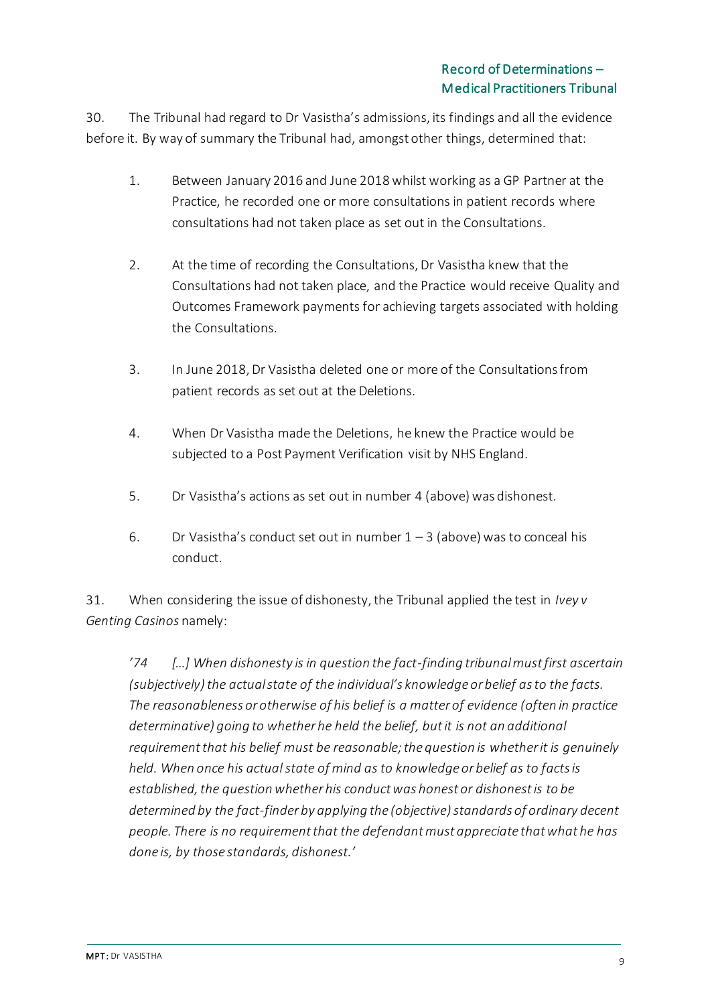30. The Tribunal had regard to Dr Vasistha's admissions, its findings and all the evidence before it. By way of summary the Tribunal had, amongst other things, determined that:

- 1. Between January 2016 and June 2018 whilst working as a GP Partner at the Practice, he recorded one or more consultations in patient records where consultations had not taken place as set out in the Consultations.
- 2. At the time of recording the Consultations, Dr Vasistha knew that the Consultations had not taken place, and the Practice would receive Quality and Outcomes Framework payments for achieving targets associated with holding the Consultations.
- 3. In June 2018, Dr Vasistha deleted one or more of the Consultations from patient records as set out at the Deletions.
- 4. When Dr Vasistha made the Deletions, he knew the Practice would be subjected to a Post Payment Verification visit by NHS England.
- 5. Dr Vasistha's actions as set out in number 4 (above) was dishonest.
- 6. Dr Vasistha's conduct set out in number  $1 3$  (above) was to conceal his conduct.

31. When considering the issue of dishonesty, the Tribunal applied the test in *Ivey v Genting Casinos* namely:

*'74 […] When dishonesty is in question the fact-finding tribunal must first ascertain (subjectively) the actual state of the individual's knowledge or belief as to the facts. The reasonableness or otherwise of his belief is a matter of evidence (often in practice determinative) going to whether he held the belief, but it is not an additional requirement that his belief must be reasonable; the question is whether it is genuinely held. When once his actual state of mind as to knowledge or belief as to facts is established, the question whether his conduct was honest or dishonest is to be determined by the fact-finder by applying the (objective) standards of ordinary decent people. There is no requirement that the defendant must appreciate that what he has done is, by those standards, dishonest.'*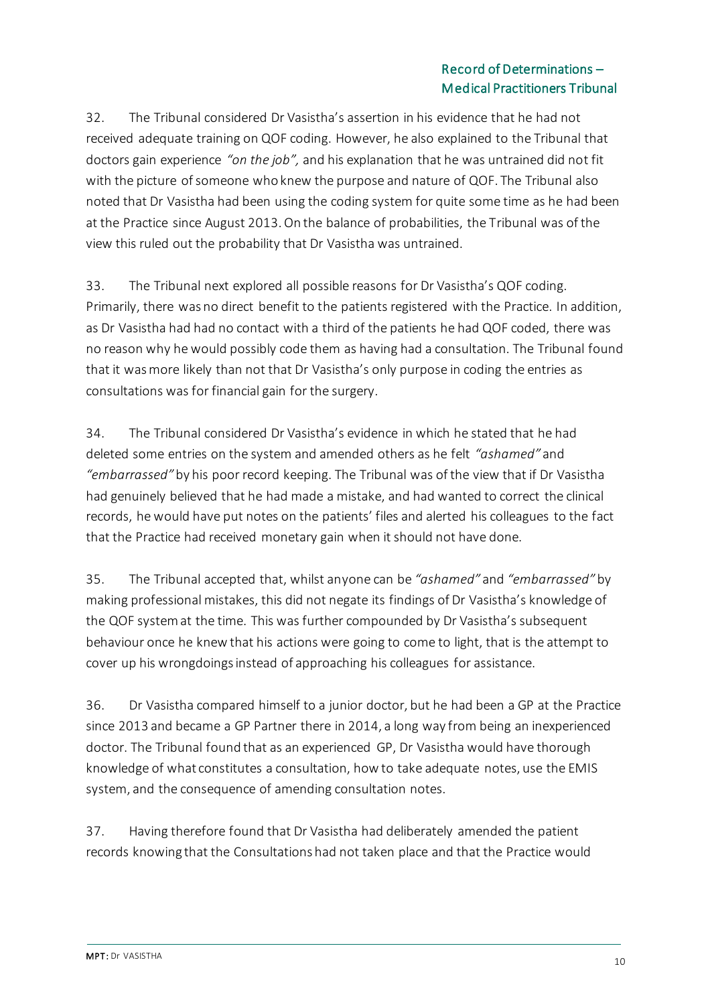32. The Tribunal considered Dr Vasistha's assertion in his evidence that he had not received adequate training on QOF coding. However, he also explained to the Tribunal that doctors gain experience *"on the job",* and his explanation that he was untrained did not fit with the picture of someone who knew the purpose and nature of QOF. The Tribunal also noted that Dr Vasistha had been using the coding system for quite some time as he had been at the Practice since August 2013. On the balance of probabilities, the Tribunal was of the view this ruled out the probability that Dr Vasistha was untrained.

33. The Tribunal next explored all possible reasons for Dr Vasistha's QOF coding. Primarily, there was no direct benefit to the patients registered with the Practice. In addition, as Dr Vasistha had had no contact with a third of the patients he had QOF coded, there was no reason why he would possibly code them as having had a consultation. The Tribunal found that it was more likely than not that Dr Vasistha's only purpose in coding the entries as consultations was for financial gain for the surgery.

34. The Tribunal considered Dr Vasistha's evidence in which he stated that he had deleted some entries on the system and amended others as he felt *"ashamed"* and *"embarrassed"* by his poor record keeping. The Tribunal was of the view that if Dr Vasistha had genuinely believed that he had made a mistake, and had wanted to correct the clinical records, he would have put notes on the patients' files and alerted his colleagues to the fact that the Practice had received monetary gain when it should not have done.

35. The Tribunal accepted that, whilst anyone can be *"ashamed"* and *"embarrassed"* by making professional mistakes, this did not negate its findings of Dr Vasistha's knowledge of the QOF system at the time. This was further compounded by Dr Vasistha's subsequent behaviour once he knew that his actions were going to come to light, that is the attempt to cover up his wrongdoings instead of approaching his colleagues for assistance.

36. Dr Vasistha compared himself to a junior doctor, but he had been a GP at the Practice since 2013 and became a GP Partner there in 2014, a long way from being an inexperienced doctor. The Tribunal found that as an experienced GP, Dr Vasistha would have thorough knowledge of what constitutes a consultation, how to take adequate notes, use the EMIS system, and the consequence of amending consultation notes.

37. Having therefore found that Dr Vasistha had deliberately amended the patient records knowing that the Consultations had not taken place and that the Practice would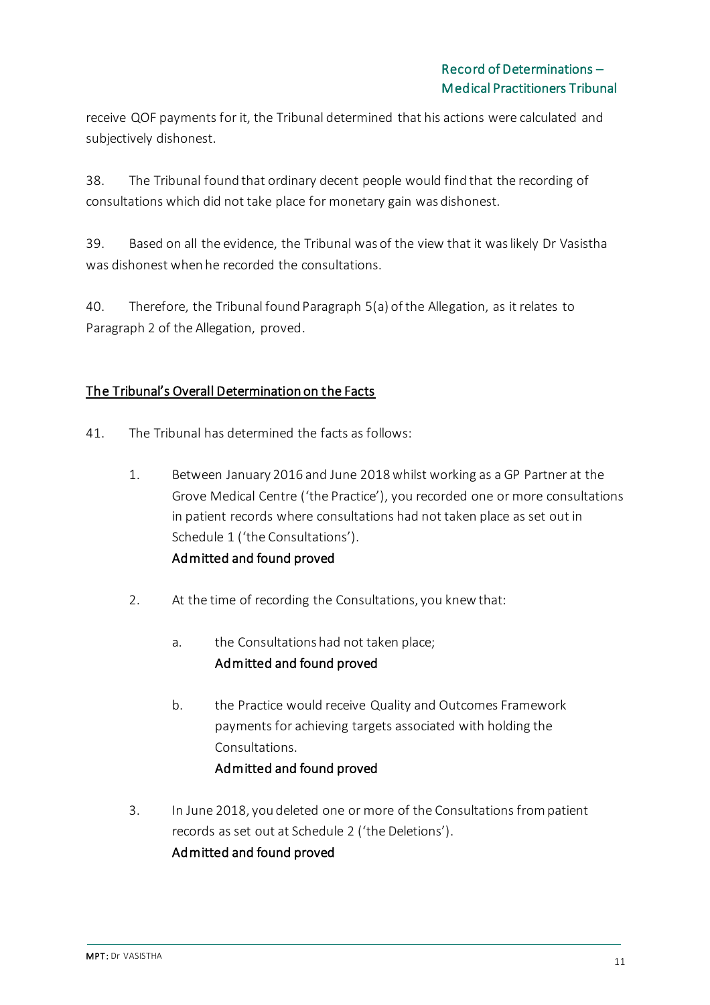receive QOF payments for it, the Tribunal determined that his actions were calculated and subjectively dishonest.

38. The Tribunal found that ordinary decent people would find that the recording of consultations which did not take place for monetary gain was dishonest.

39. Based on all the evidence, the Tribunal was of the view that it was likely Dr Vasistha was dishonest when he recorded the consultations.

40. Therefore, the Tribunal found Paragraph 5(a) of the Allegation, as it relates to Paragraph 2 of the Allegation, proved.

## The Tribunal's Overall Determination on the Facts

- 41. The Tribunal has determined the facts as follows:
	- 1. Between January 2016 and June 2018 whilst working as a GP Partner at the Grove Medical Centre ('the Practice'), you recorded one or more consultations in patient records where consultations had not taken place as set out in Schedule 1 ('the Consultations'). Admitted and found proved
	- 2. At the time of recording the Consultations, you knew that:
		- a. the Consultations had not taken place; Admitted and found proved
		- b. the Practice would receive Quality and Outcomes Framework payments for achieving targets associated with holding the Consultations. Admitted and found proved
	- 3. In June 2018, you deleted one or more of the Consultations from patient records as set out at Schedule 2 ('the Deletions'). Admitted and found proved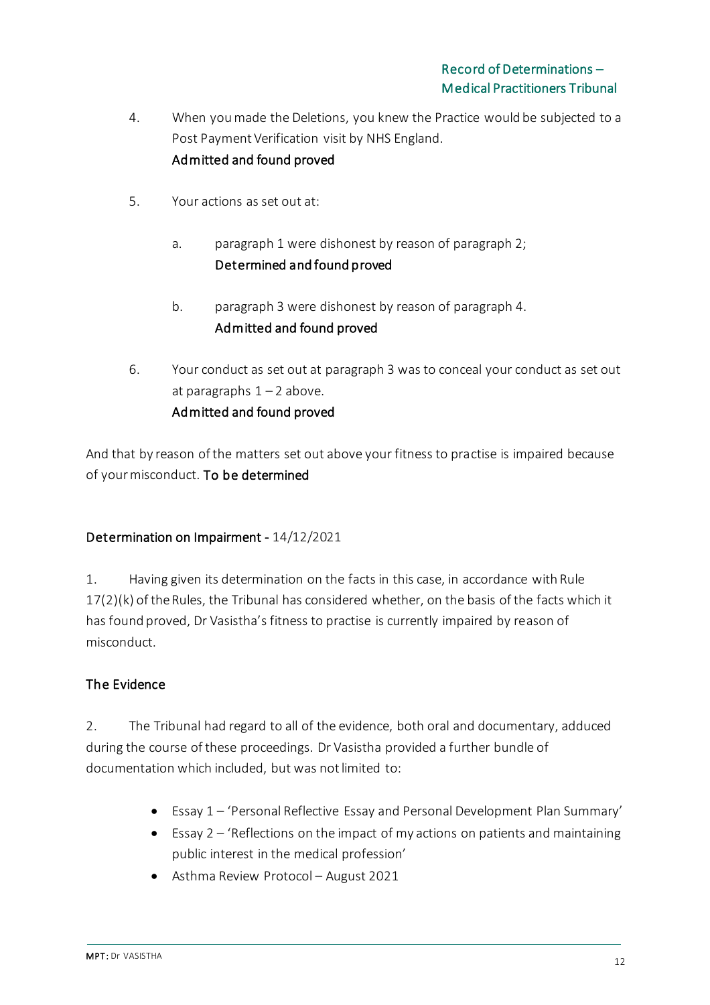- 4. When you made the Deletions, you knew the Practice would be subjected to a Post Payment Verification visit by NHS England. Admitted and found proved
- 5. Your actions as set out at:
	- a. paragraph 1 were dishonest by reason of paragraph 2; Determined and found proved
	- b. paragraph 3 were dishonest by reason of paragraph 4. Admitted and found proved
- 6. Your conduct as set out at paragraph 3 was to conceal your conduct as set out at paragraphs  $1 - 2$  above. Admitted and found proved

And that by reason of the matters set out above your fitness to practise is impaired because of your misconduct. To be determined

## Determination on Impairment - 14/12/2021

1. Having given its determination on the facts in this case, in accordance with Rule 17(2)(k) of the Rules, the Tribunal has considered whether, on the basis of the facts which it has found proved, Dr Vasistha's fitness to practise is currently impaired by reason of misconduct.

## The Evidence

2. The Tribunal had regard to all of the evidence, both oral and documentary, adduced during the course of these proceedings. Dr Vasistha provided a further bundle of documentation which included, but was not limited to:

- Essay 1 'Personal Reflective Essay and Personal Development Plan Summary'
- Essay  $2 -$  'Reflections on the impact of my actions on patients and maintaining public interest in the medical profession'
- Asthma Review Protocol August 2021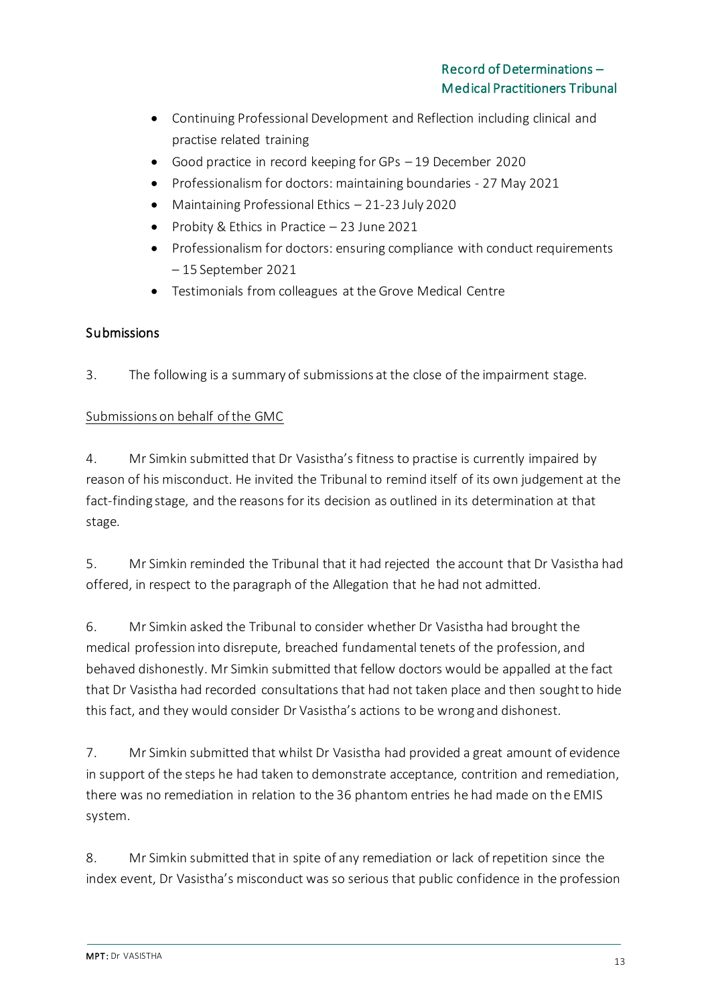- Continuing Professional Development and Reflection including clinical and practise related training
- Good practice in record keeping for GPs 19 December 2020
- Professionalism for doctors: maintaining boundaries 27 May 2021
- Maintaining Professional Ethics 21-23 July 2020
- Probity & Ethics in Practice 23 June 2021
- Professionalism for doctors: ensuring compliance with conduct requirements – 15 September 2021
- Testimonials from colleagues at the Grove Medical Centre

## Submissions

3. The following is a summary of submissions at the close of the impairment stage.

## Submissions on behalf of the GMC

4. Mr Simkin submitted that Dr Vasistha's fitness to practise is currently impaired by reason of his misconduct. He invited the Tribunal to remind itself of its own judgement at the fact-finding stage, and the reasons for its decision as outlined in its determination at that stage.

5. Mr Simkin reminded the Tribunal that it had rejected the account that Dr Vasistha had offered, in respect to the paragraph of the Allegation that he had not admitted.

6. Mr Simkin asked the Tribunal to consider whether Dr Vasistha had brought the medical profession into disrepute, breached fundamental tenets of the profession, and behaved dishonestly. Mr Simkin submitted that fellow doctors would be appalled at the fact that Dr Vasistha had recorded consultations that had not taken place and then sought to hide this fact, and they would consider Dr Vasistha's actions to be wrong and dishonest.

7. Mr Simkin submitted that whilst Dr Vasistha had provided a great amount of evidence in support of the steps he had taken to demonstrate acceptance, contrition and remediation, there was no remediation in relation to the 36 phantom entries he had made on the EMIS system.

8. Mr Simkin submitted that in spite of any remediation or lack of repetition since the index event, Dr Vasistha's misconduct was so serious that public confidence in the profession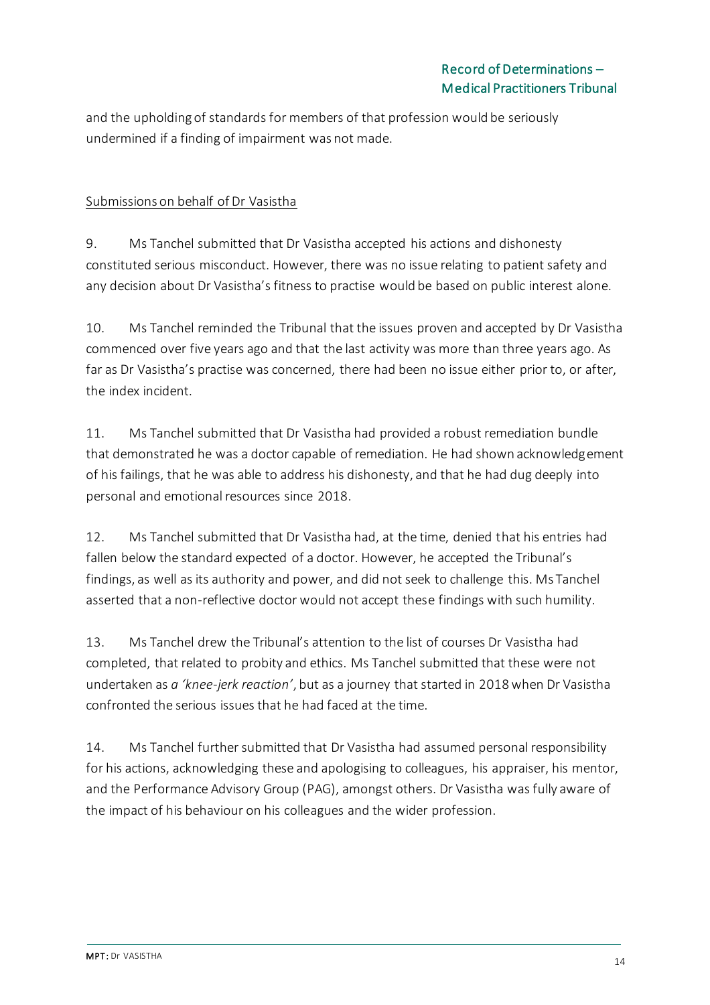and the upholding of standards for members of that profession would be seriously undermined if a finding of impairment was not made.

### Submissions on behalf of Dr Vasistha

9. Ms Tanchel submitted that Dr Vasistha accepted his actions and dishonesty constituted serious misconduct. However, there was no issue relating to patient safety and any decision about Dr Vasistha's fitness to practise would be based on public interest alone.

10. Ms Tanchel reminded the Tribunal that the issues proven and accepted by Dr Vasistha commenced over five years ago and that the last activity was more than three years ago. As far as Dr Vasistha's practise was concerned, there had been no issue either prior to, or after, the index incident.

11. Ms Tanchel submitted that Dr Vasistha had provided a robust remediation bundle that demonstrated he was a doctor capable of remediation. He had shown acknowledgement of his failings, that he was able to address his dishonesty, and that he had dug deeply into personal and emotional resources since 2018.

12. Ms Tanchel submitted that Dr Vasistha had, at the time, denied that his entries had fallen below the standard expected of a doctor. However, he accepted the Tribunal's findings, as well as its authority and power, and did not seek to challenge this. Ms Tanchel asserted that a non-reflective doctor would not accept these findings with such humility.

13. Ms Tanchel drew the Tribunal's attention to the list of courses Dr Vasistha had completed, that related to probity and ethics. Ms Tanchel submitted that these were not undertaken as *a 'knee-jerk reaction'*, but as a journey that started in 2018 when Dr Vasistha confronted the serious issues that he had faced at the time.

14. Ms Tanchel further submitted that Dr Vasistha had assumed personal responsibility for his actions, acknowledging these and apologising to colleagues, his appraiser, his mentor, and the Performance Advisory Group (PAG), amongst others. Dr Vasistha was fully aware of the impact of his behaviour on his colleagues and the wider profession.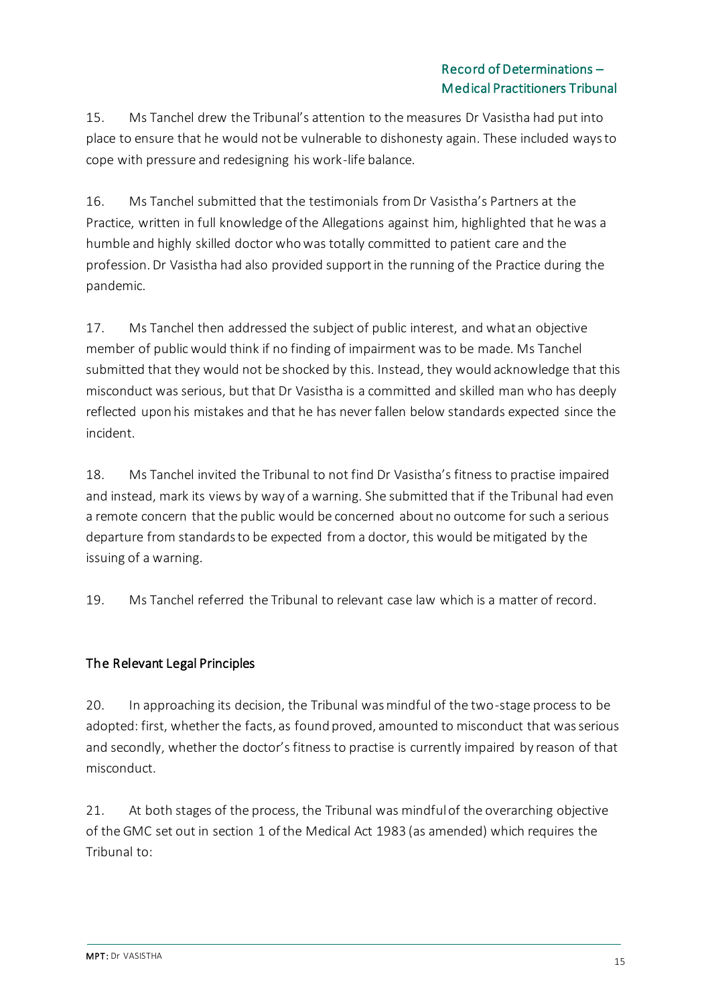15. Ms Tanchel drew the Tribunal's attention to the measures Dr Vasistha had put into place to ensure that he would not be vulnerable to dishonesty again. These included ways to cope with pressure and redesigning his work-life balance.

16. Ms Tanchel submitted that the testimonials from Dr Vasistha's Partners at the Practice, written in full knowledge of the Allegations against him, highlighted that he was a humble and highly skilled doctor who was totally committed to patient care and the profession. Dr Vasistha had also provided support in the running of the Practice during the pandemic.

17. Ms Tanchel then addressed the subject of public interest, and what an objective member of public would think if no finding of impairment was to be made. Ms Tanchel submitted that they would not be shocked by this. Instead, they would acknowledge that this misconduct was serious, but that Dr Vasistha is a committed and skilled man who has deeply reflected upon his mistakes and that he has never fallen below standards expected since the incident.

18. Ms Tanchel invited the Tribunal to not find Dr Vasistha's fitness to practise impaired and instead, mark its views by way of a warning. She submitted that if the Tribunal had even a remote concern that the public would be concerned about no outcome for such a serious departure from standards to be expected from a doctor, this would be mitigated by the issuing of a warning.

19. Ms Tanchel referred the Tribunal to relevant case law which is a matter of record.

## The Relevant Legal Principles

20. In approaching its decision, the Tribunal was mindful of the two-stage process to be adopted: first, whether the facts, as found proved, amounted to misconduct that was serious and secondly, whether the doctor's fitness to practise is currently impaired by reason of that misconduct.

21. At both stages of the process, the Tribunal was mindful of the overarching objective of the GMC set out in section 1 of the Medical Act 1983 (as amended) which requires the Tribunal to: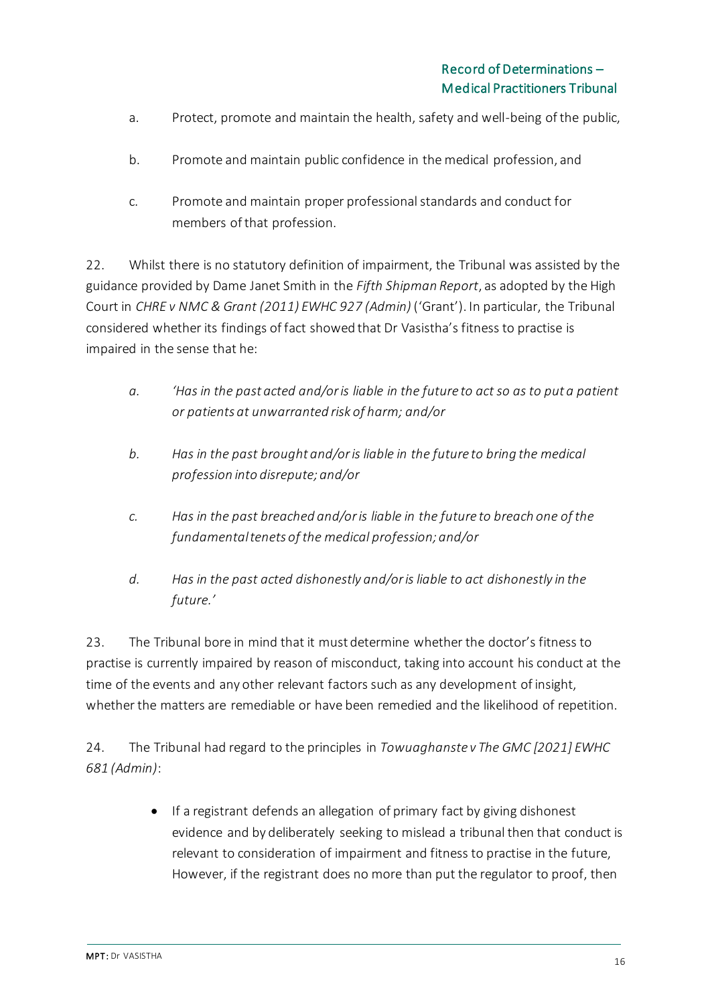- a. Protect, promote and maintain the health, safety and well-being of the public,
- b. Promote and maintain public confidence in the medical profession, and
- c. Promote and maintain proper professional standards and conduct for members of that profession.

22. Whilst there is no statutory definition of impairment, the Tribunal was assisted by the guidance provided by Dame Janet Smith in the *Fifth Shipman Report*, as adopted by the High Court in *CHRE v NMC & Grant (2011) EWHC 927 (Admin)* ('Grant'). In particular, the Tribunal considered whether its findings of fact showed that Dr Vasistha's fitness to practise is impaired in the sense that he:

- *a. 'Has in the past acted and/or is liable in the future to act so as to put a patient or patients at unwarranted risk of harm; and/or*
- *b. Has in the past brought and/or is liable in the future to bring the medical profession into disrepute; and/or*
- *c. Has in the past breached and/or is liable in the future to breach one of the fundamental tenets of the medical profession; and/or*
- *d. Has in the past acted dishonestly and/or is liable to act dishonestly in the future.'*

23. The Tribunal bore in mind that it must determine whether the doctor's fitness to practise is currently impaired by reason of misconduct, taking into account his conduct at the time of the events and any other relevant factors such as any development of insight, whether the matters are remediable or have been remedied and the likelihood of repetition.

24. The Tribunal had regard to the principles in *Towuaghanste v The GMC [2021] EWHC 681 (Admin)*:

> • If a registrant defends an allegation of primary fact by giving dishonest evidence and by deliberately seeking to mislead a tribunal then that conduct is relevant to consideration of impairment and fitness to practise in the future, However, if the registrant does no more than put the regulator to proof, then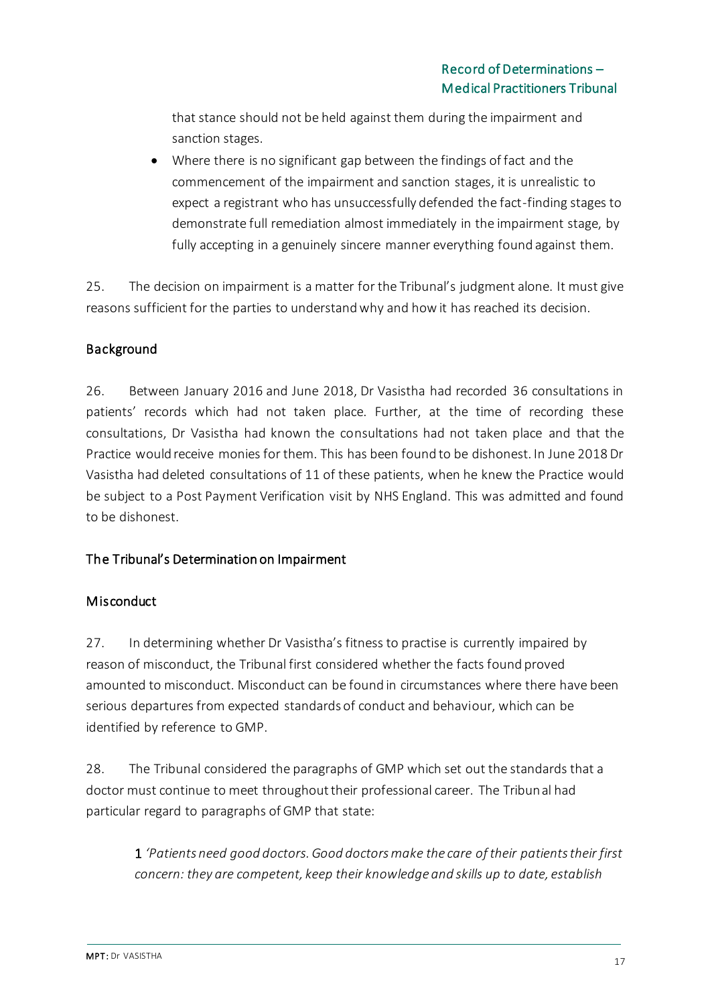that stance should not be held against them during the impairment and sanction stages.

• Where there is no significant gap between the findings of fact and the commencement of the impairment and sanction stages, it is unrealistic to expect a registrant who has unsuccessfully defended the fact-finding stages to demonstrate full remediation almost immediately in the impairment stage, by fully accepting in a genuinely sincere manner everything found against them.

25. The decision on impairment is a matter for the Tribunal's judgment alone. It must give reasons sufficient for the parties to understand why and how it has reached its decision.

## Background

26. Between January 2016 and June 2018, Dr Vasistha had recorded 36 consultations in patients' records which had not taken place. Further, at the time of recording these consultations, Dr Vasistha had known the consultations had not taken place and that the Practice would receive monies for them. This has been found to be dishonest. In June 2018 Dr Vasistha had deleted consultations of 11 of these patients, when he knew the Practice would be subject to a Post Payment Verification visit by NHS England. This was admitted and found to be dishonest.

## The Tribunal's Determination on Impairment

## **Misconduct**

27. In determining whether Dr Vasistha's fitness to practise is currently impaired by reason of misconduct, the Tribunal first considered whether the facts found proved amounted to misconduct. Misconduct can be found in circumstances where there have been serious departures from expected standards of conduct and behaviour, which can be identified by reference to GMP.

28. The Tribunal considered the paragraphs of GMP which set out the standards that a doctor must continue to meet throughout their professional career. The Tribunal had particular regard to paragraphs of GMP that state:

1 *'Patients need good doctors. Good doctors make the care of their patients their first concern: they are competent, keep their knowledge and skills up to date, establish*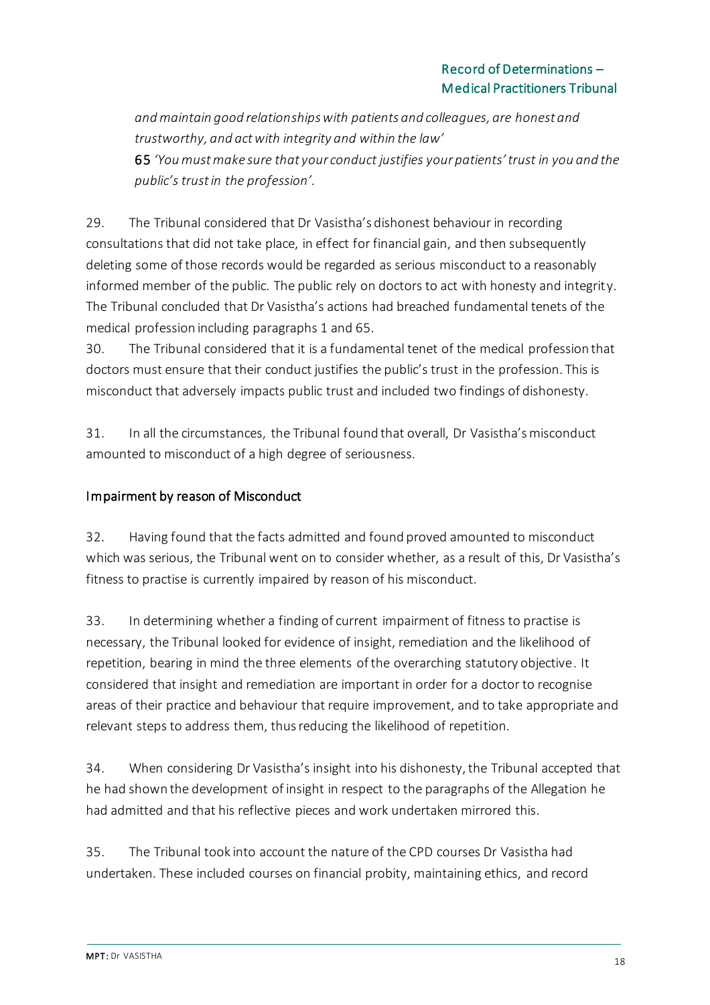*and maintain good relationships with patients and colleagues, are honest and trustworthy, and act with integrity and within the law'* 

65 *'You must make sure that your conduct justifies your patients' trust in you and the public's trust in the profession'.*

29. The Tribunal considered that Dr Vasistha's dishonest behaviour in recording consultations that did not take place, in effect for financial gain, and then subsequently deleting some of those records would be regarded as serious misconduct to a reasonably informed member of the public. The public rely on doctors to act with honesty and integrity. The Tribunal concluded that Dr Vasistha's actions had breached fundamental tenets of the medical profession including paragraphs 1 and 65.

30. The Tribunal considered that it is a fundamental tenet of the medical profession that doctors must ensure that their conduct justifies the public's trust in the profession. This is misconduct that adversely impacts public trust and included two findings of dishonesty.

31. In all the circumstances, the Tribunal found that overall, Dr Vasistha's misconduct amounted to misconduct of a high degree of seriousness.

## Impairment by reason of Misconduct

32. Having found that the facts admitted and found proved amounted to misconduct which was serious, the Tribunal went on to consider whether, as a result of this, Dr Vasistha's fitness to practise is currently impaired by reason of his misconduct.

33. In determining whether a finding of current impairment of fitness to practise is necessary, the Tribunal looked for evidence of insight, remediation and the likelihood of repetition, bearing in mind the three elements of the overarching statutory objective. It considered that insight and remediation are important in order for a doctor to recognise areas of their practice and behaviour that require improvement, and to take appropriate and relevant steps to address them, thus reducing the likelihood of repetition.

34. When considering Dr Vasistha's insight into his dishonesty, the Tribunal accepted that he had shown the development of insight in respect to the paragraphs of the Allegation he had admitted and that his reflective pieces and work undertaken mirrored this.

35. The Tribunal took into account the nature of the CPD courses Dr Vasistha had undertaken. These included courses on financial probity, maintaining ethics, and record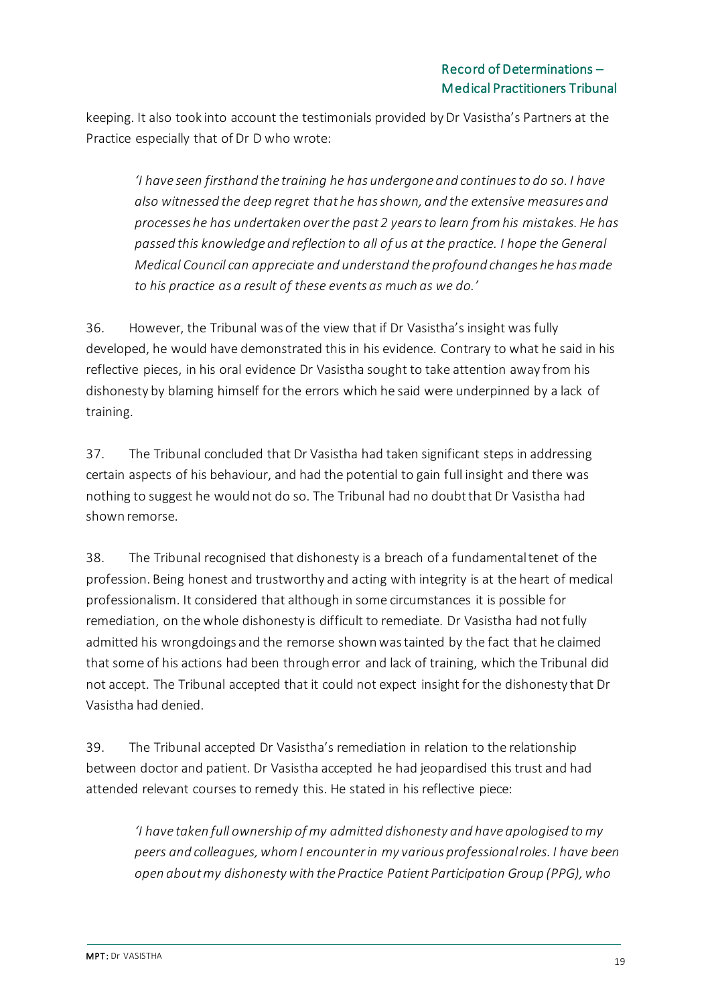keeping. It also took into account the testimonials provided by Dr Vasistha's Partners at the Practice especially that of Dr D who wrote:

*'I have seen firsthand the training he has undergone and continues to do so. I have also witnessed the deep regret that he has shown, and the extensive measures and processes he has undertaken over the past 2 years to learn from his mistakes. He has passed this knowledge and reflection to all of us at the practice. I hope the General Medical Council can appreciate and understand the profound changes he has made to his practice as a result of these events as much as we do.'*

36. However, the Tribunal was of the view that if Dr Vasistha's insight was fully developed, he would have demonstrated this in his evidence. Contrary to what he said in his reflective pieces, in his oral evidence Dr Vasistha sought to take attention away from his dishonesty by blaming himself for the errors which he said were underpinned by a lack of training.

37. The Tribunal concluded that Dr Vasistha had taken significant steps in addressing certain aspects of his behaviour, and had the potential to gain full insight and there was nothing to suggest he would not do so. The Tribunal had no doubt that Dr Vasistha had shown remorse.

38. The Tribunal recognised that dishonesty is a breach of a fundamental tenet of the profession. Being honest and trustworthy and acting with integrity is at the heart of medical professionalism. It considered that although in some circumstances it is possible for remediation, on the whole dishonesty is difficult to remediate. Dr Vasistha had not fully admitted his wrongdoings and the remorse shown was tainted by the fact that he claimed that some of his actions had been through error and lack of training, which the Tribunal did not accept. The Tribunal accepted that it could not expect insight for the dishonesty that Dr Vasistha had denied.

39. The Tribunal accepted Dr Vasistha's remediation in relation to the relationship between doctor and patient. Dr Vasistha accepted he had jeopardised this trust and had attended relevant courses to remedy this. He stated in his reflective piece:

*'I have taken full ownership of my admitted dishonesty and have apologised to my peers and colleagues, whom I encounter in my various professional roles. I have been open about my dishonesty with the Practice Patient Participation Group (PPG), who*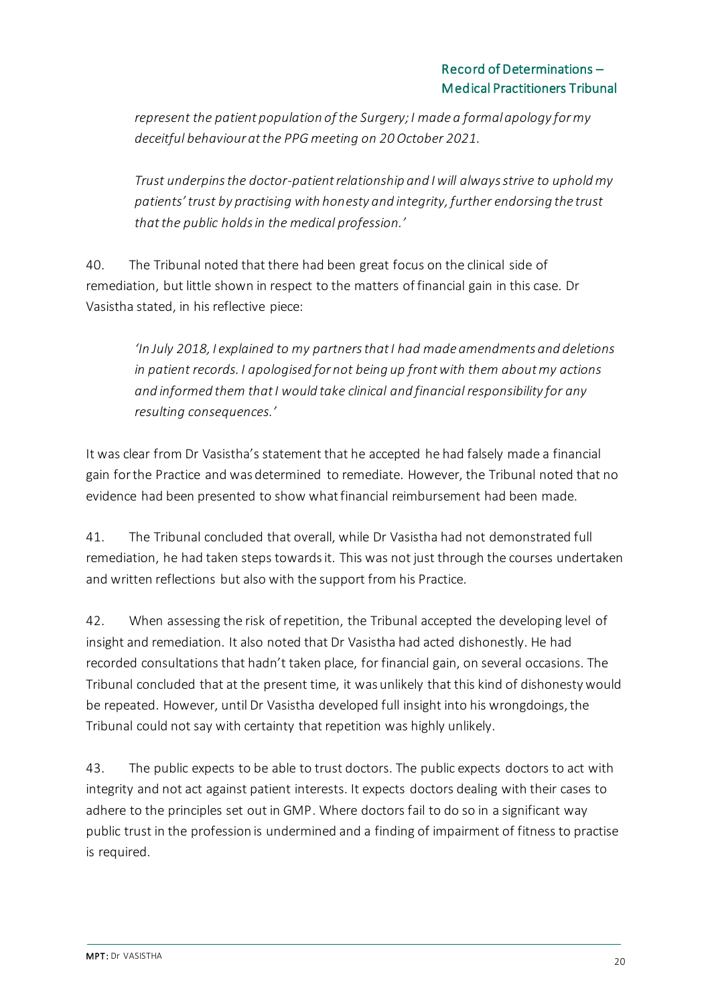*represent the patient population of the Surgery; I made a formal apology for my deceitful behaviour at the PPG meeting on 20 October 2021.*

*Trust underpins the doctor-patient relationship and I will always strive to uphold my patients' trust by practising with honesty and integrity, further endorsing the trust thatthe public holds in the medical profession.'*

40. The Tribunal noted that there had been great focus on the clinical side of remediation, but little shown in respect to the matters of financial gain in this case. Dr Vasistha stated, in his reflective piece:

*'In July 2018, I explained to my partners that I had made amendments and deletions in patient records. I apologised for not being up front with them about my actions and informed them that I would take clinical and financial responsibility for any resulting consequences.'*

It was clear from Dr Vasistha's statement that he accepted he had falsely made a financial gain for the Practice and was determined to remediate. However, the Tribunal noted that no evidence had been presented to show what financial reimbursement had been made.

41. The Tribunal concluded that overall, while Dr Vasistha had not demonstrated full remediation, he had taken steps towards it. This was not just through the courses undertaken and written reflections but also with the support from his Practice.

42. When assessing the risk of repetition, the Tribunal accepted the developing level of insight and remediation. It also noted that Dr Vasistha had acted dishonestly. He had recorded consultations that hadn't taken place, for financial gain, on several occasions. The Tribunal concluded that at the present time, it was unlikely that this kind of dishonesty would be repeated. However, until Dr Vasistha developed full insight into his wrongdoings, the Tribunal could not say with certainty that repetition was highly unlikely.

43. The public expects to be able to trust doctors. The public expects doctors to act with integrity and not act against patient interests. It expects doctors dealing with their cases to adhere to the principles set out in GMP. Where doctors fail to do so in a significant way public trust in the profession is undermined and a finding of impairment of fitness to practise is required.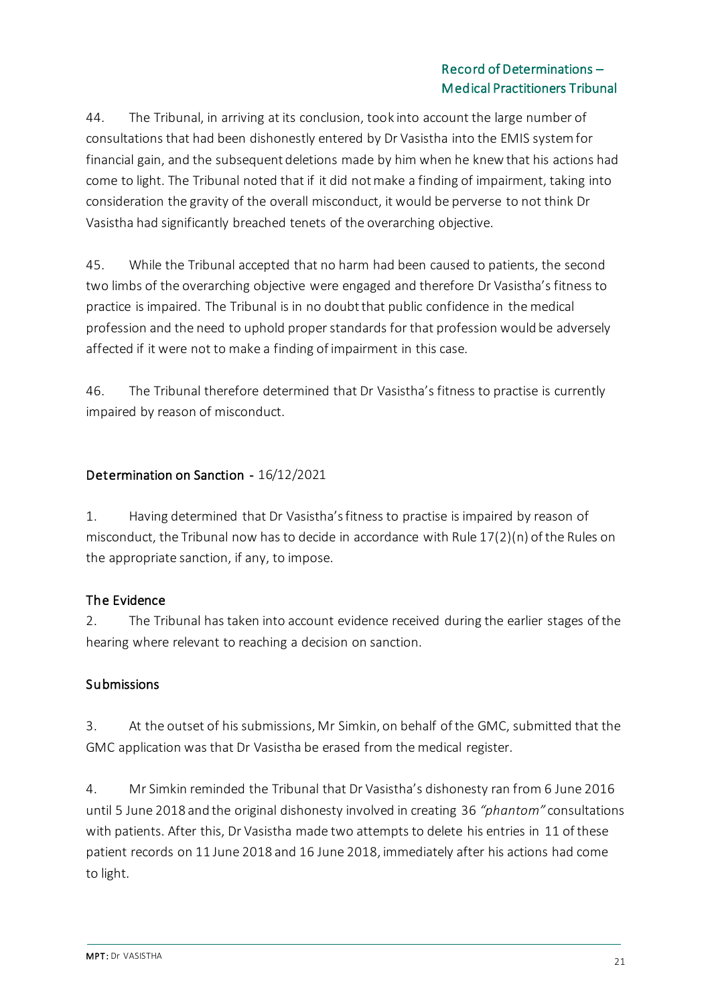44. The Tribunal, in arriving at its conclusion, took into account the large number of consultations that had been dishonestly entered by Dr Vasistha into the EMIS system for financial gain, and the subsequent deletions made by him when he knew that his actions had come to light. The Tribunal noted that if it did not make a finding of impairment, taking into consideration the gravity of the overall misconduct, it would be perverse to not think Dr Vasistha had significantly breached tenets of the overarching objective.

45. While the Tribunal accepted that no harm had been caused to patients, the second two limbs of the overarching objective were engaged and therefore Dr Vasistha's fitness to practice is impaired. The Tribunal is in no doubt that public confidence in the medical profession and the need to uphold proper standards for that profession would be adversely affected if it were not to make a finding of impairment in this case.

46. The Tribunal therefore determined that Dr Vasistha's fitness to practise is currently impaired by reason of misconduct.

## Determination on Sanction - 16/12/2021

1. Having determined that Dr Vasistha's fitness to practise is impaired by reason of misconduct, the Tribunal now has to decide in accordance with Rule 17(2)(n) of the Rules on the appropriate sanction, if any, to impose.

## The Evidence

2. The Tribunal has taken into account evidence received during the earlier stages of the hearing where relevant to reaching a decision on sanction.

## Submissions

3. At the outset of his submissions, Mr Simkin, on behalf of the GMC, submitted that the GMC application was that Dr Vasistha be erased from the medical register.

4. Mr Simkin reminded the Tribunal that Dr Vasistha's dishonesty ran from 6 June 2016 until 5 June 2018 and the original dishonesty involved in creating 36 *"phantom"* consultations with patients. After this, Dr Vasistha made two attempts to delete his entries in 11 of these patient records on 11 June 2018 and 16 June 2018, immediately after his actions had come to light.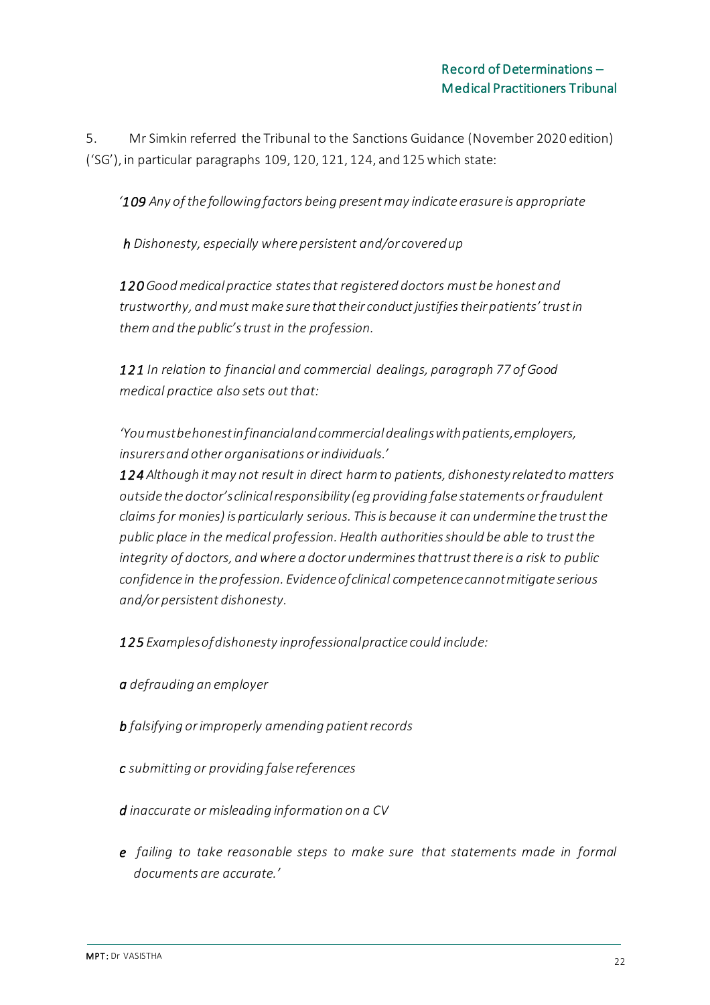5. Mr Simkin referred the Tribunal to the Sanctions Guidance (November 2020 edition) ('SG'), in particular paragraphs 109, 120, 121, 124, and 125 which state:

*'109 Any of the followingfactors being present may indicate erasure is appropriate*

*h Dishonesty, especially where persistent and/or coveredup*

*120 Good medical practice states that registered doctors must be honest and trustworthy, and must make sure thattheir conductjustifiestheir patients' trustin themand the public'strust in the profession.*

*121 In relation to financial and commercial dealings, paragraph 77 of Good medical practice also sets out that:*

*'Youmustbehonestinfinancialandcommercial dealingswithpatients,employers, insurersand other organisations orindividuals.'*

*124 Although it may not result in direct harm to patients, dishonesty relatedto matters outside the doctor'sclinicalresponsibility (eg providing false statements or fraudulent claims for monies) is particularly serious. Thisis because it can undermine the trustthe public place in the medical profession. Health authorities should be able to trust the integrity of doctors, and where a doctor underminesthattrustthere is a risk to public confidence in the profession. Evidenceofclinical competencecannotmitigate serious and/or persistent dishonesty.*

*125 Examplesofdishonesty inprofessionalpractice could include:*

- *a defrauding an employer*
- *b falsifying or improperly amending patient records*
- *c submitting or providing false references*
- *d inaccurate or misleading information on a CV*
- *e failing to take reasonable steps to make sure that statements made in formal documents are accurate.'*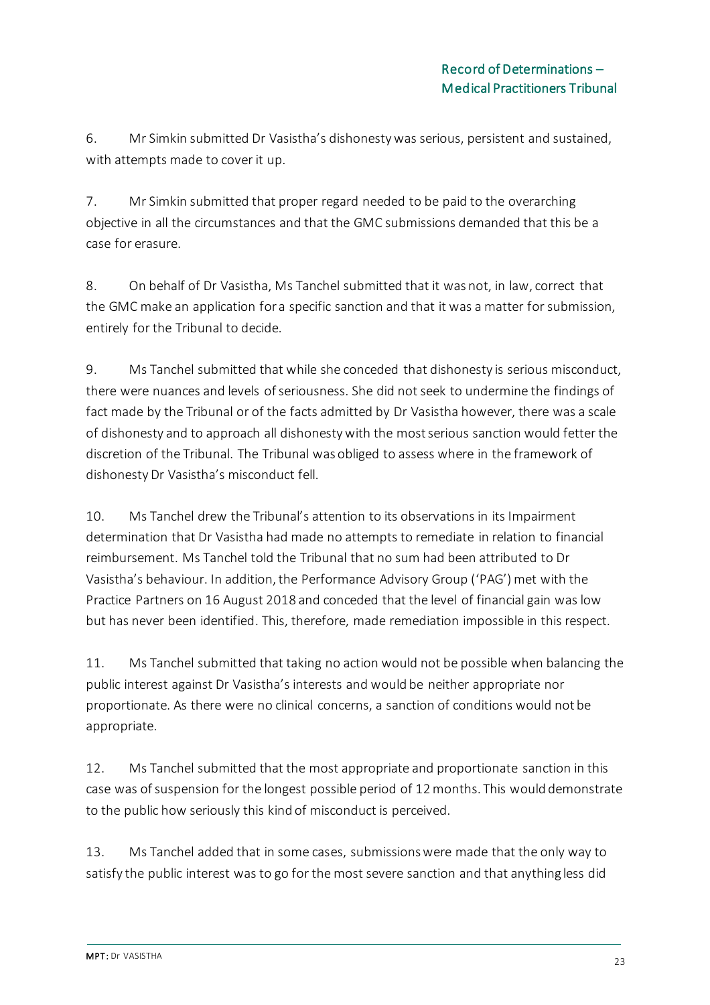6. Mr Simkin submitted Dr Vasistha's dishonesty was serious, persistent and sustained, with attempts made to cover it up.

7. Mr Simkin submitted that proper regard needed to be paid to the overarching objective in all the circumstances and that the GMC submissions demanded that this be a case for erasure.

8. On behalf of Dr Vasistha, Ms Tanchel submitted that it was not, in law, correct that the GMC make an application for a specific sanction and that it was a matter for submission, entirely for the Tribunal to decide.

9. Ms Tanchel submitted that while she conceded that dishonesty is serious misconduct, there were nuances and levels of seriousness. She did not seek to undermine the findings of fact made by the Tribunal or of the facts admitted by Dr Vasistha however, there was a scale of dishonesty and to approach all dishonesty with the most serious sanction would fetter the discretion of the Tribunal. The Tribunal was obliged to assess where in the framework of dishonesty Dr Vasistha's misconduct fell.

10. Ms Tanchel drew the Tribunal's attention to its observations in its Impairment determination that Dr Vasistha had made no attempts to remediate in relation to financial reimbursement. Ms Tanchel told the Tribunal that no sum had been attributed to Dr Vasistha's behaviour. In addition, the Performance Advisory Group ('PAG') met with the Practice Partners on 16 August 2018 and conceded that the level of financial gain was low but has never been identified. This, therefore, made remediation impossible in this respect.

11. Ms Tanchel submitted that taking no action would not be possible when balancing the public interest against Dr Vasistha's interests and would be neither appropriate nor proportionate. As there were no clinical concerns, a sanction of conditions would not be appropriate.

12. Ms Tanchel submitted that the most appropriate and proportionate sanction in this case was of suspension for the longest possible period of 12 months. This would demonstrate to the public how seriously this kind of misconduct is perceived.

13. Ms Tanchel added that in some cases, submissions were made that the only way to satisfy the public interest was to go for the most severe sanction and that anything less did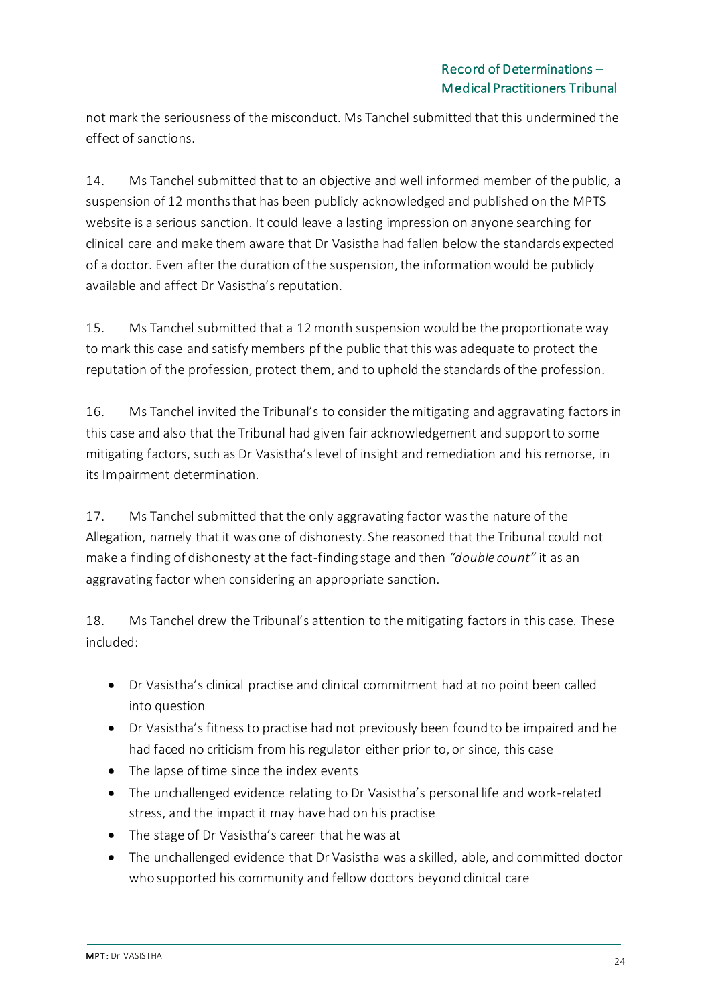not mark the seriousness of the misconduct. Ms Tanchel submitted that this undermined the effect of sanctions.

14. Ms Tanchel submitted that to an objective and well informed member of the public, a suspension of 12 months that has been publicly acknowledged and published on the MPTS website is a serious sanction. It could leave a lasting impression on anyone searching for clinical care and make them aware that Dr Vasistha had fallen below the standards expected of a doctor. Even after the duration of the suspension, the information would be publicly available and affect Dr Vasistha's reputation.

15. Ms Tanchel submitted that a 12 month suspension would be the proportionate way to mark this case and satisfy members pf the public that this was adequate to protect the reputation of the profession, protect them, and to uphold the standards of the profession.

16. Ms Tanchel invited the Tribunal's to consider the mitigating and aggravating factors in this case and also that the Tribunal had given fair acknowledgement and support to some mitigating factors, such as Dr Vasistha's level of insight and remediation and his remorse, in its Impairment determination.

17. Ms Tanchel submitted that the only aggravating factor was the nature of the Allegation, namely that it was one of dishonesty. She reasoned that the Tribunal could not make a finding of dishonesty at the fact-finding stage and then *"double count"* it as an aggravating factor when considering an appropriate sanction.

18. Ms Tanchel drew the Tribunal's attention to the mitigating factors in this case. These included:

- Dr Vasistha's clinical practise and clinical commitment had at no point been called into question
- Dr Vasistha's fitness to practise had not previously been found to be impaired and he had faced no criticism from his regulator either prior to, or since, this case
- The lapse of time since the index events
- The unchallenged evidence relating to Dr Vasistha's personal life and work-related stress, and the impact it may have had on his practise
- The stage of Dr Vasistha's career that he was at
- The unchallenged evidence that Dr Vasistha was a skilled, able, and committed doctor who supported his community and fellow doctors beyond clinical care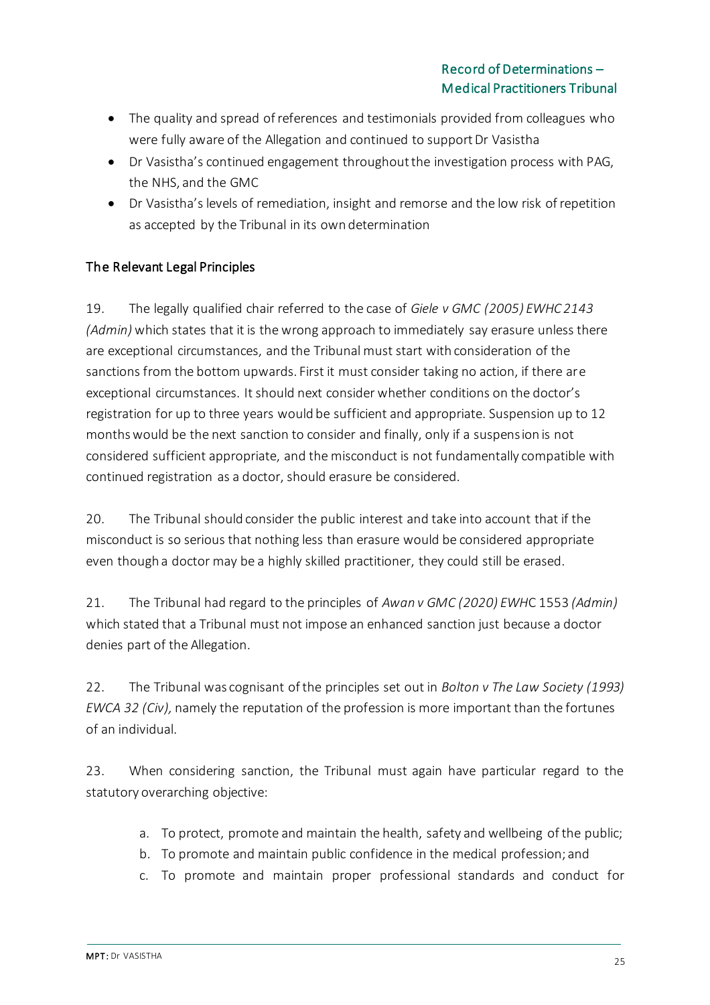- The quality and spread of references and testimonials provided from colleagues who were fully aware of the Allegation and continued to support Dr Vasistha
- Dr Vasistha's continued engagement throughout the investigation process with PAG, the NHS, and the GMC
- Dr Vasistha's levels of remediation, insight and remorse and the low risk of repetition as accepted by the Tribunal in its own determination

## The Relevant Legal Principles

19. The legally qualified chair referred to the case of *Giele v GMC (2005) EWHC 2143 (Admin)* which states that it is the wrong approach to immediately say erasure unless there are exceptional circumstances, and the Tribunal must start with consideration of the sanctions from the bottom upwards. First it must consider taking no action, if there are exceptional circumstances. It should next consider whether conditions on the doctor's registration for up to three years would be sufficient and appropriate. Suspension up to 12 months would be the next sanction to consider and finally, only if a suspension is not considered sufficient appropriate, and the misconduct is not fundamentally compatible with continued registration as a doctor, should erasure be considered.

20. The Tribunal should consider the public interest and take into account that if the misconduct is so serious that nothing less than erasure would be considered appropriate even though a doctor may be a highly skilled practitioner, they could still be erased.

21. The Tribunal had regard to the principles of *Awan v GMC (2020) EWH*C 1553 *(Admin)* which stated that a Tribunal must not impose an enhanced sanction just because a doctor denies part of the Allegation.

22. The Tribunal was cognisant of the principles set out in *Bolton v The Law Society (1993) EWCA 32 (Civ),* namely the reputation of the profession is more important than the fortunes of an individual.

23. When considering sanction, the Tribunal must again have particular regard to the statutory overarching objective:

- a. To protect, promote and maintain the health, safety and wellbeing of the public;
- b. To promote and maintain public confidence in the medical profession; and
- c. To promote and maintain proper professional standards and conduct for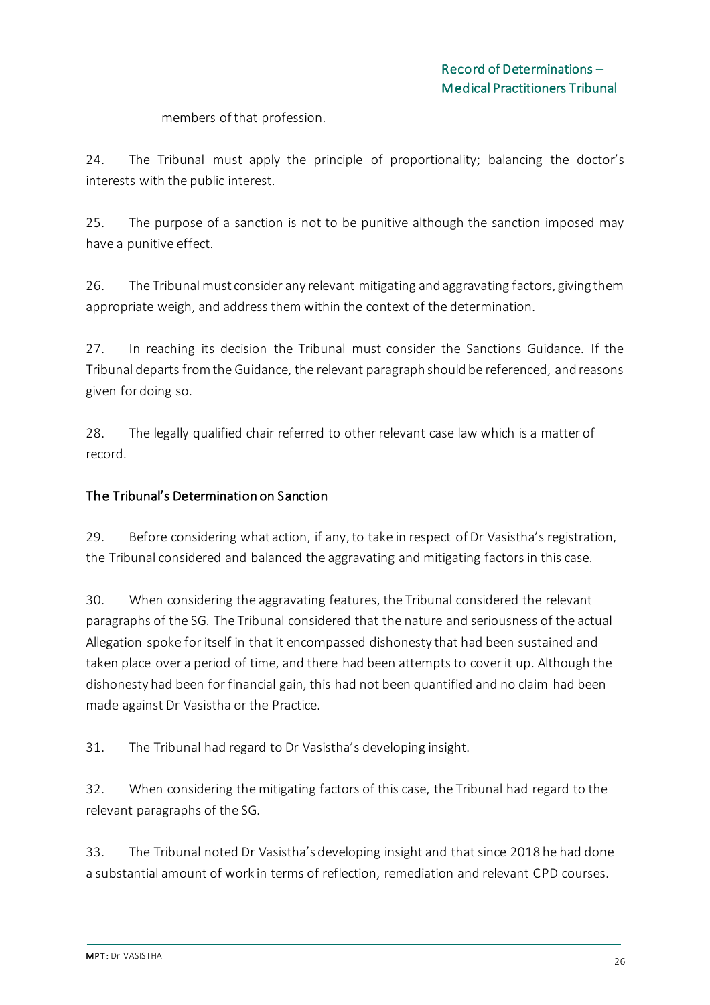members of that profession.

24. The Tribunal must apply the principle of proportionality; balancing the doctor's interests with the public interest.

25. The purpose of a sanction is not to be punitive although the sanction imposed may have a punitive effect.

26. The Tribunal must consider any relevant mitigating and aggravating factors, giving them appropriate weigh, and address them within the context of the determination.

27. In reaching its decision the Tribunal must consider the Sanctions Guidance. If the Tribunal departs from the Guidance, the relevant paragraph should be referenced, and reasons given for doing so.

28. The legally qualified chair referred to other relevant case law which is a matter of record.

## The Tribunal's Determination on Sanction

29. Before considering what action, if any, to take in respect of Dr Vasistha's registration, the Tribunal considered and balanced the aggravating and mitigating factors in this case.

30. When considering the aggravating features, the Tribunal considered the relevant paragraphs of the SG. The Tribunal considered that the nature and seriousness of the actual Allegation spoke for itself in that it encompassed dishonesty that had been sustained and taken place over a period of time, and there had been attempts to cover it up. Although the dishonesty had been for financial gain, this had not been quantified and no claim had been made against Dr Vasistha or the Practice.

31. The Tribunal had regard to Dr Vasistha's developing insight.

32. When considering the mitigating factors of this case, the Tribunal had regard to the relevant paragraphs of the SG.

33. The Tribunal noted Dr Vasistha's developing insight and that since 2018 he had done a substantial amount of work in terms of reflection, remediation and relevant CPD courses.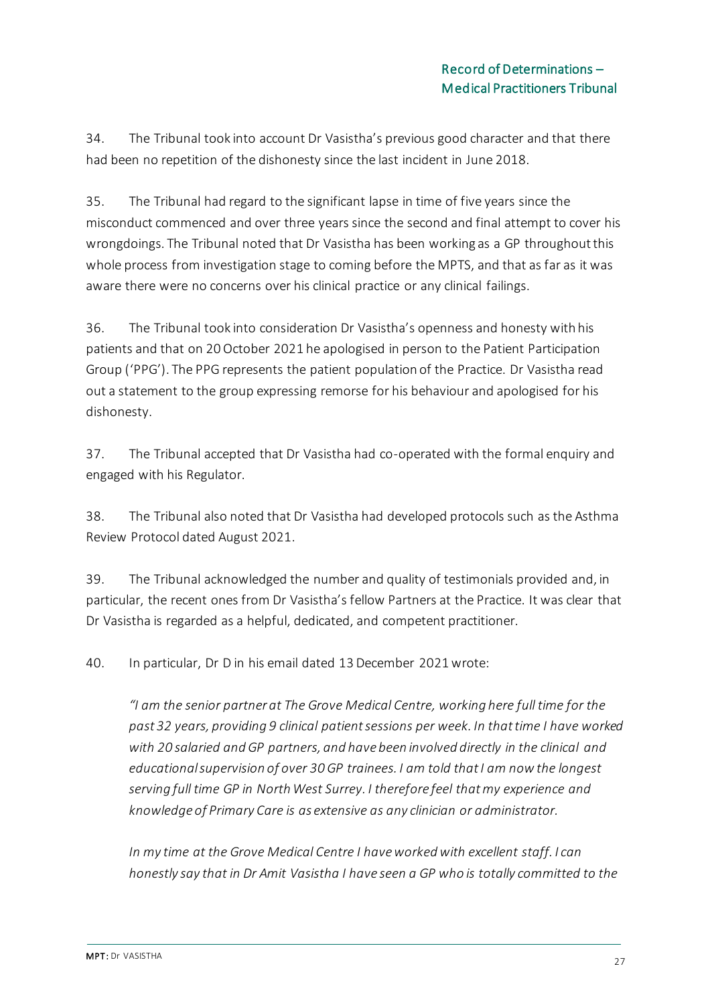34. The Tribunal took into account Dr Vasistha's previous good character and that there had been no repetition of the dishonesty since the last incident in June 2018.

35. The Tribunal had regard to the significant lapse in time of five years since the misconduct commenced and over three years since the second and final attempt to cover his wrongdoings. The Tribunal noted that Dr Vasistha has been working as a GP throughout this whole process from investigation stage to coming before the MPTS, and that as far as it was aware there were no concerns over his clinical practice or any clinical failings.

36. The Tribunal took into consideration Dr Vasistha's openness and honesty with his patients and that on 20 October 2021 he apologised in person to the Patient Participation Group ('PPG'). The PPG represents the patient population of the Practice. Dr Vasistha read out a statement to the group expressing remorse for his behaviour and apologised for his dishonesty.

37. The Tribunal accepted that Dr Vasistha had co-operated with the formal enquiry and engaged with his Regulator.

38. The Tribunal also noted that Dr Vasistha had developed protocols such as the Asthma Review Protocol dated August 2021.

39. The Tribunal acknowledged the number and quality of testimonials provided and, in particular, the recent ones from Dr Vasistha's fellow Partners at the Practice. It was clear that Dr Vasistha is regarded as a helpful, dedicated, and competent practitioner.

40. In particular, Dr D in his email dated 13 December 2021 wrote:

*"I am the senior partner at The Grove Medical Centre, working here full time for the past 32 years, providing 9 clinical patient sessions per week. In that time I have worked with 20 salaried and GP partners, and have been involved directly in the clinical and educational supervision of over 30 GP trainees. I am told that I am now the longest serving full time GP in North West Surrey. I therefore feel that my experience and knowledge of Primary Care is as extensive as any clinician or administrator.*

*In my time at the Grove Medical Centre I have worked with excellent staff. I can honestly say that in Dr Amit Vasistha I have seen a GP who is totally committed to the*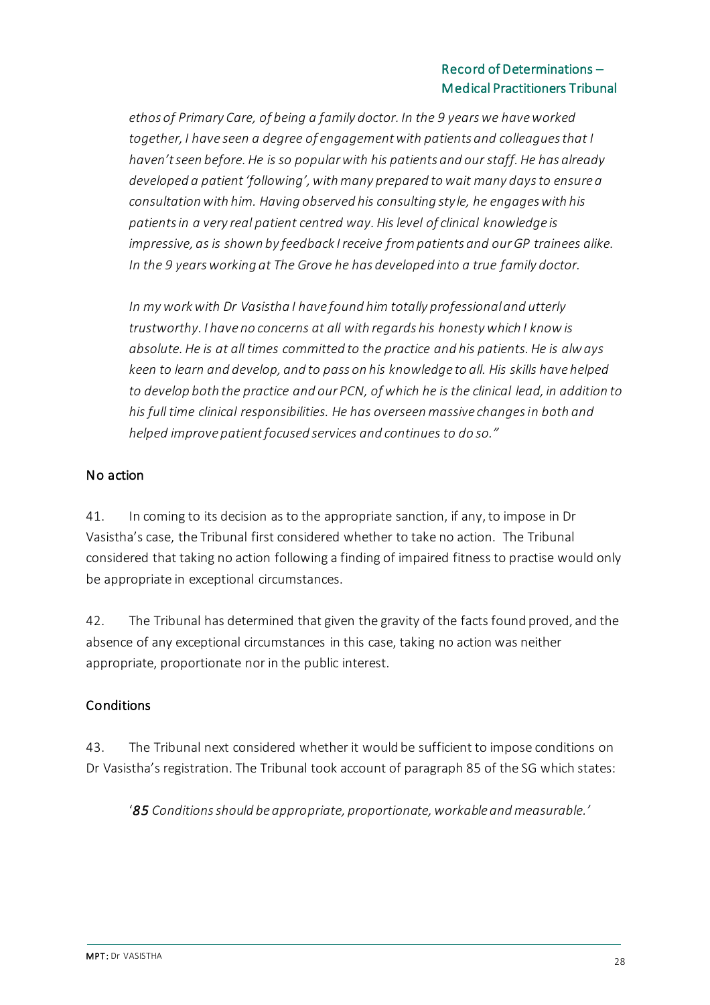*ethos of Primary Care, of being a family doctor. In the 9 years we have worked together, I have seen a degree of engagement with patients and colleagues that I haven't seen before. He is so popular with his patients and our staff. He has already developed a patient 'following', with many prepared to wait many days to ensure a consultation with him. Having observed his consulting style, he engages with his patients in a very real patient centred way. His level of clinical knowledge is impressive, as is shown by feedback I receive from patients and our GP trainees alike. In the 9 years working at The Grove he has developed into a true family doctor.*

*In my work with Dr Vasistha I have found him totally professional and utterly trustworthy. I have no concerns at all with regards his honesty which I know is absolute. He is at all times committed to the practice and his patients. He is always keen to learn and develop, and to pass on his knowledge to all. His skills have helped to develop both the practice and our PCN, of which he is the clinical lead, in addition to his full time clinical responsibilities. He has overseen massive changes in both and helped improve patient focused services and continues to do so."*

## No action

41. In coming to its decision as to the appropriate sanction, if any, to impose in Dr Vasistha's case, the Tribunal first considered whether to take no action. The Tribunal considered that taking no action following a finding of impaired fitness to practise would only be appropriate in exceptional circumstances.

42. The Tribunal has determined that given the gravity of the facts found proved, and the absence of any exceptional circumstances in this case, taking no action was neither appropriate, proportionate nor in the public interest.

## Conditions

43. The Tribunal next considered whether it would be sufficient to impose conditions on Dr Vasistha's registration. The Tribunal took account of paragraph 85 of the SG which states:

'*85 Conditions should be appropriate, proportionate, workable and measurable.'*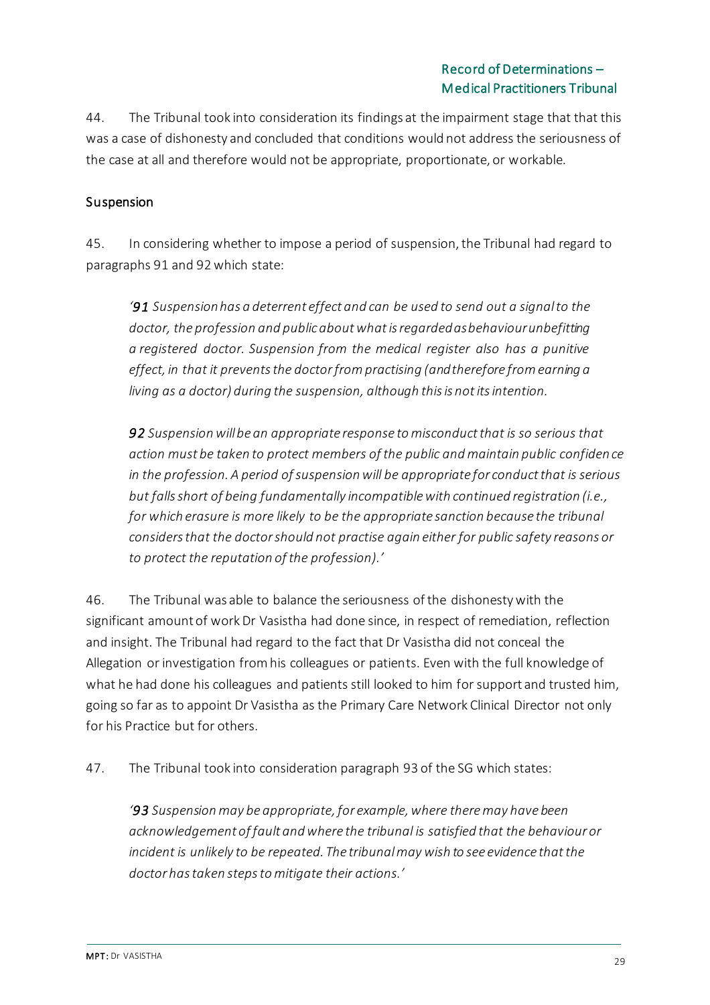44. The Tribunal took into consideration its findings at the impairment stage that that this was a case of dishonesty and concluded that conditions would not address the seriousness of the case at all and therefore would not be appropriate, proportionate, or workable.

## Suspension

45. In considering whether to impose a period of suspension, the Tribunal had regard to paragraphs 91 and 92 which state:

*'91 Suspensionhas a deterrent effect and can be used to send out a signalto the doctor, the profession and publicaboutwhatisregardedasbehaviourunbefitting a registered doctor. Suspension from the medical register also has a punitive effect, in that it prevents the doctorfrompractising (andtherefore from earning a living as a doctor) during the suspension, although thisis notitsintention.*

*92 Suspension will be an appropriate response to misconduct that is so serious that action must be taken to protect members of the public and maintain public confidence in the profession. A period of suspension will be appropriate for conduct that is serious but falls short of being fundamentally incompatible with continued registration (i.e., for which erasure is more likely to be the appropriate sanction because the tribunal considers that the doctor should not practise again either for public safety reasons or to protect the reputation of the profession).'*

46. The Tribunal was able to balance the seriousness of the dishonesty with the significant amount of work Dr Vasistha had done since, in respect of remediation, reflection and insight. The Tribunal had regard to the fact that Dr Vasistha did not conceal the Allegation or investigation from his colleagues or patients. Even with the full knowledge of what he had done his colleagues and patients still looked to him for support and trusted him, going so far as to appoint Dr Vasistha as the Primary Care Network Clinical Director not only for his Practice but for others.

47. The Tribunal took into consideration paragraph 93 of the SG which states:

*'93 Suspension may be appropriate, for example, where theremay have been acknowledgement of fault and where the tribunal is satisfied that the behaviour or incident is unlikely to be repeated. The tribunalmaywish to see evidence thatthe doctor hastaken stepsto mitigate their actions.'*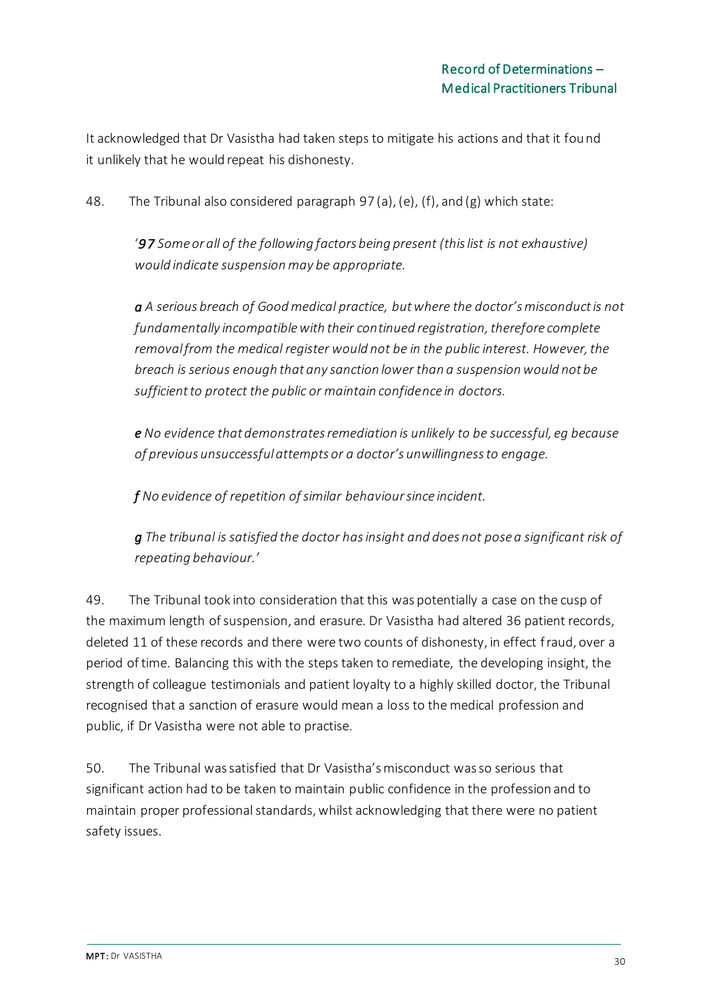It acknowledged that Dr Vasistha had taken steps to mitigate his actions and that it found it unlikely that he would repeat his dishonesty.

48. The Tribunal also considered paragraph 97 (a), (e), (f), and (g) which state:

'*97 Some or all of the following factors being present (this list is not exhaustive) would indicate suspension may be appropriate.*

*a A serious breach of Good medical practice, but where the doctor's misconduct is not fundamentally incompatible with their continued registration, therefore complete removal from the medical register would not be in the public interest. However, the breach is serious enough that any sanction lower than a suspension would not be sufficient to protect the public or maintain confidence in doctors.*

*e No evidence that demonstrates remediation is unlikely to be successful, eg because of previous unsuccessful attempts or a doctor's unwillingness to engage.*

*f No evidence of repetition of similar behaviour since incident.*

*g The tribunal is satisfied the doctor has insight and does not pose a significant risk of repeating behaviour.'*

49. The Tribunal took into consideration that this was potentially a case on the cusp of the maximum length of suspension, and erasure. Dr Vasistha had altered 36 patient records, deleted 11 of these records and there were two counts of dishonesty, in effect fraud, over a period of time. Balancing this with the steps taken to remediate, the developing insight, the strength of colleague testimonials and patient loyalty to a highly skilled doctor, the Tribunal recognised that a sanction of erasure would mean a loss to the medical profession and public, if Dr Vasistha were not able to practise.

50. The Tribunal was satisfied that Dr Vasistha's misconduct was so serious that significant action had to be taken to maintain public confidence in the profession and to maintain proper professional standards, whilst acknowledging that there were no patient safety issues.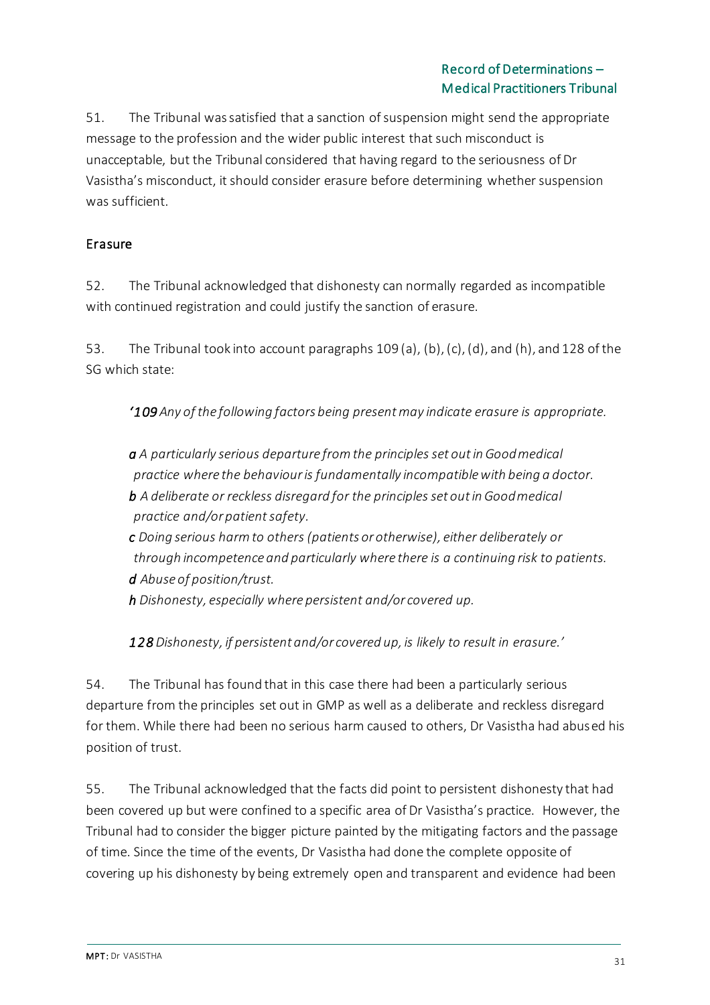51. The Tribunal was satisfied that a sanction of suspension might send the appropriate message to the profession and the wider public interest that such misconduct is unacceptable, but the Tribunal considered that having regard to the seriousness of Dr Vasistha's misconduct, it should consider erasure before determining whether suspension was sufficient.

## Erasure

52. The Tribunal acknowledged that dishonesty can normally regarded as incompatible with continued registration and could justify the sanction of erasure.

53. The Tribunal took into account paragraphs 109 (a), (b), (c), (d), and (h), and 128 of the SG which state:

*'109 Any of the following factors being present may indicate erasure is appropriate.*

*a A particularly serious departure from the principles set outin Goodmedical practice where the behaviour is fundamentally incompatible with being a doctor. b A deliberate or reckless disregard for the principles set outin Goodmedical practice and/or patientsafety.*

*c Doing serious harm to others (patients or otherwise), either deliberately or through incompetence and particularly where there is a continuing risk to patients. d Abuse of position/trust.*

*h Dishonesty, especially where persistent and/or covered up.*

*128 Dishonesty, if persistent and/or covered up, is likely to result in erasure.'*

54. The Tribunal has found that in this case there had been a particularly serious departure from the principles set out in GMP as well as a deliberate and reckless disregard for them. While there had been no serious harm caused to others, Dr Vasistha had abused his position of trust.

55. The Tribunal acknowledged that the facts did point to persistent dishonesty that had been covered up but were confined to a specific area of Dr Vasistha's practice. However, the Tribunal had to consider the bigger picture painted by the mitigating factors and the passage of time. Since the time of the events, Dr Vasistha had done the complete opposite of covering up his dishonesty by being extremely open and transparent and evidence had been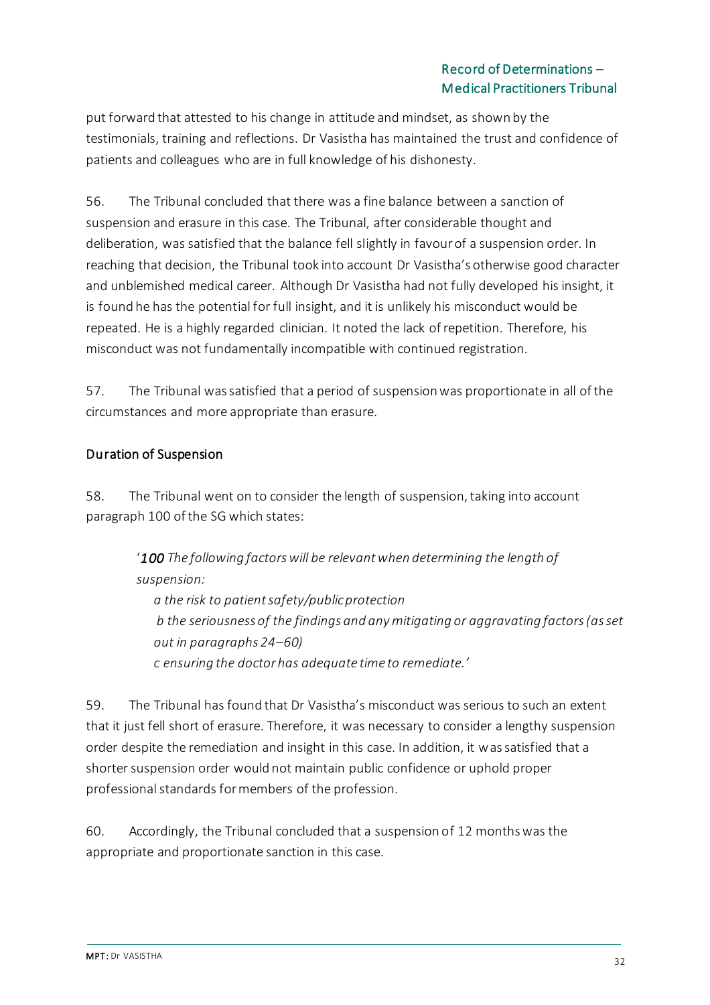put forward that attested to his change in attitude and mindset, as shown by the testimonials, training and reflections. Dr Vasistha has maintained the trust and confidence of patients and colleagues who are in full knowledge of his dishonesty.

56. The Tribunal concluded that there was a fine balance between a sanction of suspension and erasure in this case. The Tribunal, after considerable thought and deliberation, was satisfied that the balance fell slightly in favour of a suspension order. In reaching that decision, the Tribunal took into account Dr Vasistha's otherwise good character and unblemished medical career. Although Dr Vasistha had not fully developed his insight, it is found he has the potential for full insight, and it is unlikely his misconduct would be repeated. He is a highly regarded clinician. It noted the lack of repetition. Therefore, his misconduct was not fundamentally incompatible with continued registration.

57. The Tribunal was satisfied that a period of suspension was proportionate in all of the circumstances and more appropriate than erasure.

## Duration of Suspension

58. The Tribunal went on to consider the length of suspension, taking into account paragraph 100 of the SG which states:

> '*100 The following factors will be relevant when determining the length of suspension:*

*a the risk to patient safety/public protection b the seriousness of the findings and any mitigating or aggravating factors (as set out in paragraphs 24–60) c ensuring the doctor has adequate time to remediate.'*

59. The Tribunal has found that Dr Vasistha's misconduct was serious to such an extent that it just fell short of erasure. Therefore, it was necessary to consider a lengthy suspension order despite the remediation and insight in this case. In addition, it was satisfied that a shorter suspension order would not maintain public confidence or uphold proper professional standards for members of the profession.

60. Accordingly, the Tribunal concluded that a suspension of 12 months was the appropriate and proportionate sanction in this case.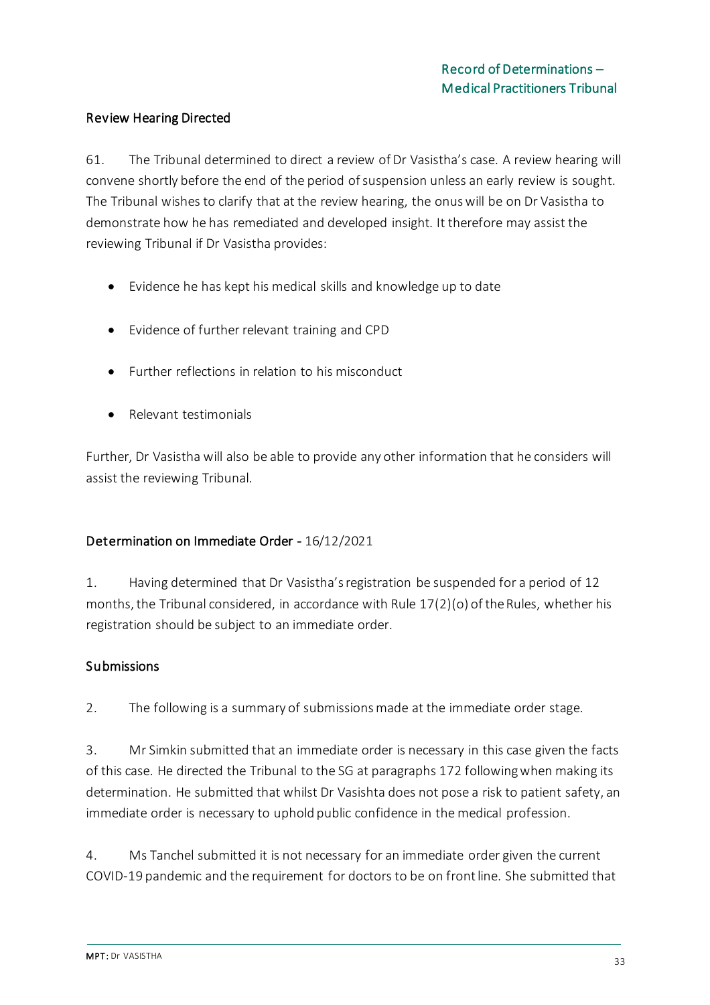### Review Hearing Directed

61. The Tribunal determined to direct a review of Dr Vasistha's case. A review hearing will convene shortly before the end of the period of suspension unless an early review is sought. The Tribunal wishes to clarify that at the review hearing, the onus will be on Dr Vasistha to demonstrate how he has remediated and developed insight*.* It therefore may assist the reviewing Tribunal if Dr Vasistha provides:

- Evidence he has kept his medical skills and knowledge up to date
- Evidence of further relevant training and CPD
- Further reflections in relation to his misconduct
- Relevant testimonials

Further, Dr Vasistha will also be able to provide any other information that he considers will assist the reviewing Tribunal.

## Determination on Immediate Order - 16/12/2021

1. Having determined that Dr Vasistha's registration be suspended for a period of 12 months, the Tribunal considered, in accordance with Rule 17(2)(o) of the Rules, whether his registration should be subject to an immediate order.

### Submissions

2. The following is a summary of submissions made at the immediate order stage.

3. Mr Simkin submitted that an immediate order is necessary in this case given the facts of this case. He directed the Tribunal to the SG at paragraphs 172 following when making its determination. He submitted that whilst Dr Vasishta does not pose a risk to patient safety, an immediate order is necessary to uphold public confidence in the medical profession.

4. Ms Tanchel submitted it is not necessary for an immediate order given the current COVID-19 pandemic and the requirement for doctors to be on front line. She submitted that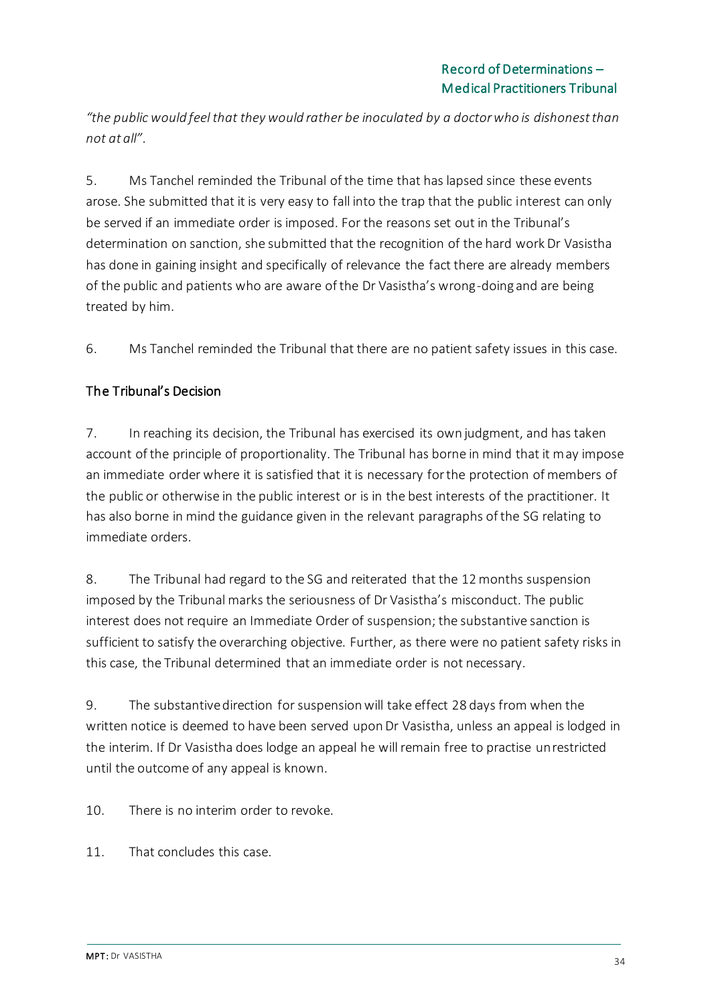*"the public would feel that they would rather be inoculated by a doctor who is dishonest than not at all"*.

5. Ms Tanchel reminded the Tribunal of the time that has lapsed since these events arose. She submitted that it is very easy to fall into the trap that the public interest can only be served if an immediate order is imposed. For the reasons set out in the Tribunal's determination on sanction, she submitted that the recognition of the hard work Dr Vasistha has done in gaining insight and specifically of relevance the fact there are already members of the public and patients who are aware of the Dr Vasistha's wrong-doing and are being treated by him.

6. Ms Tanchel reminded the Tribunal that there are no patient safety issues in this case.

## The Tribunal's Decision

7. In reaching its decision, the Tribunal has exercised its own judgment, and has taken account of the principle of proportionality. The Tribunal has borne in mind that it may impose an immediate order where it is satisfied that it is necessary for the protection of members of the public or otherwise in the public interest or is in the best interests of the practitioner. It has also borne in mind the guidance given in the relevant paragraphs of the SG relating to immediate orders.

8. The Tribunal had regard to the SG and reiterated that the 12 months suspension imposed by the Tribunal marks the seriousness of Dr Vasistha's misconduct. The public interest does not require an Immediate Order of suspension; the substantive sanction is sufficient to satisfy the overarching objective. Further, as there were no patient safety risks in this case, the Tribunal determined that an immediate order is not necessary.

9. The substantive direction for suspension will take effect 28 days from when the written notice is deemed to have been served upon Dr Vasistha, unless an appeal is lodged in the interim. If Dr Vasistha does lodge an appeal he will remain free to practise unrestricted until the outcome of any appeal is known.

10. There is no interim order to revoke.

11. That concludes this case.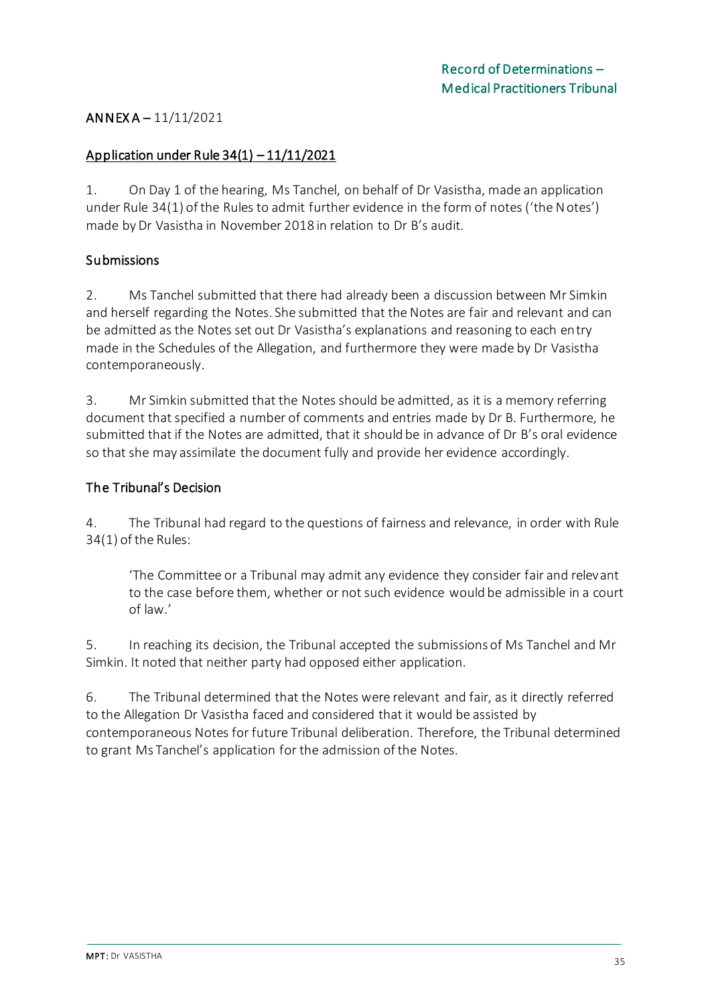### ANNEX A – 11/11/2021

### Application under Rule 34(1) – 11/11/2021

1. On Day 1 of the hearing, Ms Tanchel, on behalf of Dr Vasistha, made an application under Rule 34(1) of the Rules to admit further evidence in the form of notes ('the Notes') made by Dr Vasistha in November 2018 in relation to Dr B's audit.

### Submissions

2. Ms Tanchel submitted that there had already been a discussion between Mr Simkin and herself regarding the Notes. She submitted that the Notes are fair and relevant and can be admitted as the Notes set out Dr Vasistha's explanations and reasoning to each entry made in the Schedules of the Allegation, and furthermore they were made by Dr Vasistha contemporaneously.

3. Mr Simkin submitted that the Notes should be admitted, as it is a memory referring document that specified a number of comments and entries made by Dr B. Furthermore, he submitted that if the Notes are admitted, that it should be in advance of Dr B's oral evidence so that she may assimilate the document fully and provide her evidence accordingly.

### The Tribunal's Decision

4. The Tribunal had regard to the questions of fairness and relevance, in order with Rule 34(1) of the Rules:

'The Committee or a Tribunal may admit any evidence they consider fair and relevant to the case before them, whether or not such evidence would be admissible in a court of law.'

5. In reaching its decision, the Tribunal accepted the submissions of Ms Tanchel and Mr Simkin. It noted that neither party had opposed either application.

6. The Tribunal determined that the Notes were relevant and fair, as it directly referred to the Allegation Dr Vasistha faced and considered that it would be assisted by contemporaneous Notes for future Tribunal deliberation. Therefore, the Tribunal determined to grant Ms Tanchel's application for the admission of the Notes.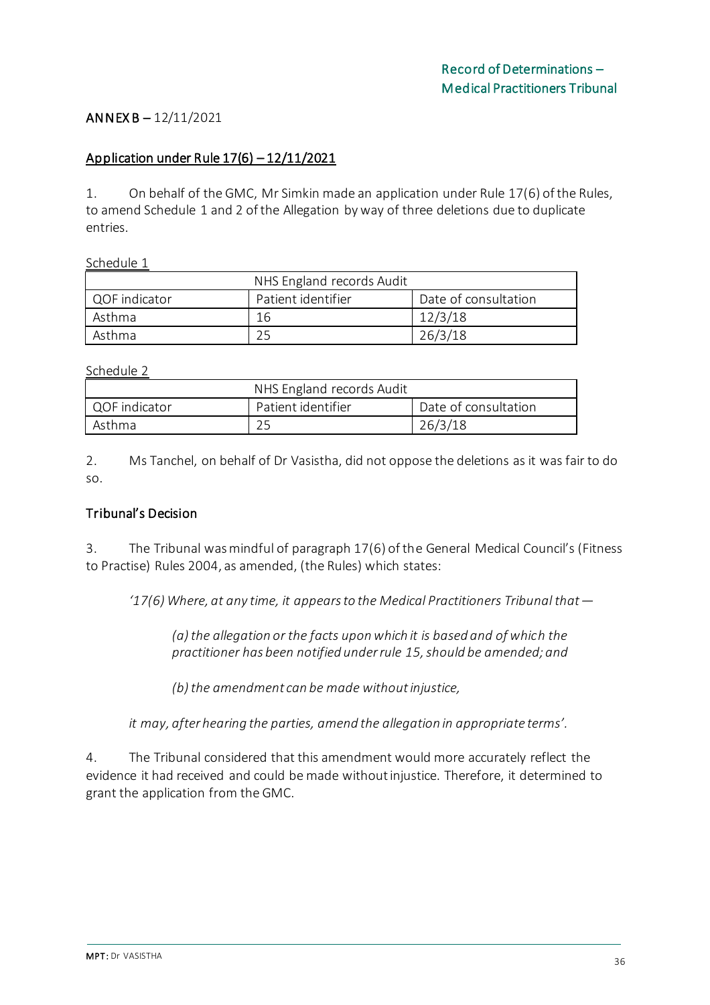### ANNEX B – 12/11/2021

#### Application under Rule 17(6) – 12/11/2021

1. On behalf of the GMC, Mr Simkin made an application under Rule 17(6) of the Rules, to amend Schedule 1 and 2 of the Allegation by way of three deletions due to duplicate entries.

Schedule 1

| NHS England records Audit |                    |                      |
|---------------------------|--------------------|----------------------|
| QOF indicator             | Patient identifier | Date of consultation |
| Asthma                    | 16                 | 12/3/18              |
| Asthma                    |                    | 26/3/18              |

Schedule 2

| NHS England records Audit |                    |                      |
|---------------------------|--------------------|----------------------|
| QOF indicator             | Patient identifier | Date of consultation |
| Asthma                    |                    | 26/3/18              |

2. Ms Tanchel, on behalf of Dr Vasistha, did not oppose the deletions as it was fair to do so.

### Tribunal's Decision

3. The Tribunal was mindful of paragraph 17(6) of the General Medical Council's (Fitness to Practise) Rules 2004, as amended, (the Rules) which states:

*'17(6) Where, at any time, it appears to the Medical Practitioners Tribunal that—*

*(a) the allegation or the facts upon which it is based and of which the practitioner has been notified under rule 15, should be amended; and* 

*(b) the amendment can be made without injustice,* 

*it may, after hearing the parties, amend the allegation in appropriate terms'.*

4. The Tribunal considered that this amendment would more accurately reflect the evidence it had received and could be made without injustice. Therefore, it determined to grant the application from the GMC.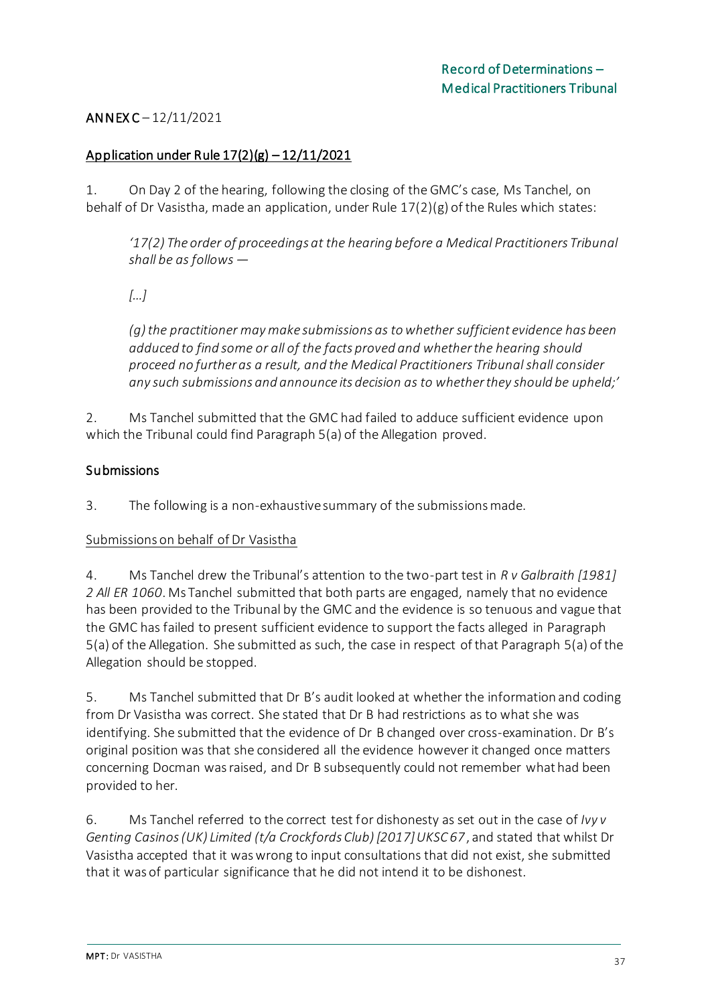## ANNEX C – 12/11/2021

### Application under Rule  $17(2)(g) - 12/11/2021$

1. On Day 2 of the hearing, following the closing of the GMC's case, Ms Tanchel, on behalf of Dr Vasistha, made an application, under Rule 17(2)(g) of the Rules which states:

*'17(2) The order of proceedings at the hearing before a Medical Practitioners Tribunal shall be as follows —*

*[…]*

*(g) the practitioner may make submissions as to whether sufficient evidence has been adduced to find some or all of the facts proved and whether the hearing should proceed no further as a result, and the Medical Practitioners Tribunal shall consider any such submissions and announce its decision as to whether they should be upheld;'*

2. Ms Tanchel submitted that the GMC had failed to adduce sufficient evidence upon which the Tribunal could find Paragraph 5(a) of the Allegation proved.

### **Submissions**

3. The following is a non-exhaustive summary of the submissions made.

### Submissions on behalf of Dr Vasistha

4. Ms Tanchel drew the Tribunal's attention to the two-part test in *R v Galbraith [1981] 2 All ER 1060*. Ms Tanchel submitted that both parts are engaged, namely that no evidence has been provided to the Tribunal by the GMC and the evidence is so tenuous and vague that the GMC has failed to present sufficient evidence to support the facts alleged in Paragraph 5(a) of the Allegation. She submitted as such, the case in respect of that Paragraph 5(a) of the Allegation should be stopped.

5. Ms Tanchel submitted that Dr B's audit looked at whether the information and coding from Dr Vasistha was correct. She stated that Dr B had restrictions as to what she was identifying. She submitted that the evidence of Dr B changed over cross-examination. Dr B's original position was that she considered all the evidence however it changed once matters concerning Docman was raised, and Dr B subsequently could not remember what had been provided to her.

6. Ms Tanchel referred to the correct test for dishonesty as set out in the case of *Ivy v Genting Casinos (UK) Limited (t/a Crockfords Club) [2017] UKSC 67*, and stated that whilst Dr Vasistha accepted that it was wrong to input consultations that did not exist, she submitted that it was of particular significance that he did not intend it to be dishonest.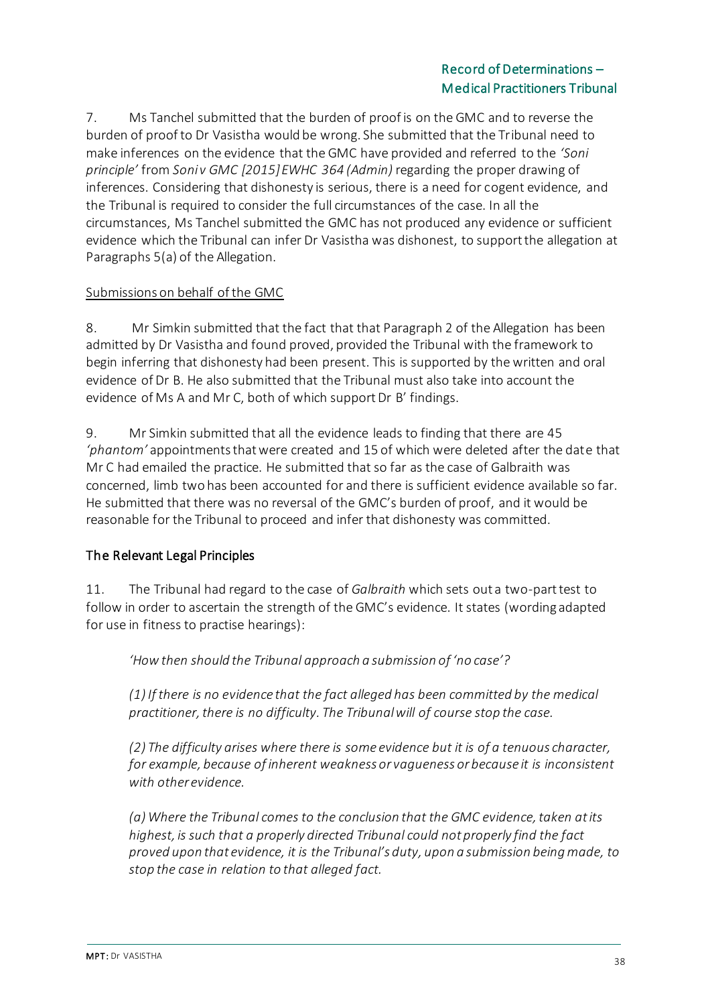7. Ms Tanchel submitted that the burden of proof is on the GMC and to reverse the burden of proof to Dr Vasistha would be wrong. She submitted that the Tribunal need to make inferences on the evidence that the GMC have provided and referred to the *'Soni principle'* from *Soni v GMC [2015] EWHC 364 (Admin)* regarding the proper drawing of inferences. Considering that dishonesty is serious, there is a need for cogent evidence, and the Tribunal is required to consider the full circumstances of the case. In all the circumstances, Ms Tanchel submitted the GMC has not produced any evidence or sufficient evidence which the Tribunal can infer Dr Vasistha was dishonest, to support the allegation at Paragraphs 5(a) of the Allegation.

### Submissions on behalf of the GMC

8. Mr Simkin submitted that the fact that that Paragraph 2 of the Allegation has been admitted by Dr Vasistha and found proved, provided the Tribunal with the framework to begin inferring that dishonesty had been present. This is supported by the written and oral evidence of Dr B. He also submitted that the Tribunal must also take into account the evidence of Ms A and Mr C, both of which support Dr B' findings.

9. Mr Simkin submitted that all the evidence leads to finding that there are 45 *'phantom'* appointments that were created and 15 of which were deleted after the date that Mr C had emailed the practice. He submitted that so far as the case of Galbraith was concerned, limb two has been accounted for and there is sufficient evidence available so far. He submitted that there was no reversal of the GMC's burden of proof, and it would be reasonable for the Tribunal to proceed and infer that dishonesty was committed.

## The Relevant Legal Principles

11. The Tribunal had regard to the case of *Galbraith* which sets out a two-part test to follow in order to ascertain the strength of the GMC's evidence. It states (wording adapted for use in fitness to practise hearings):

*'How then should the Tribunal approach a submission of 'no case'?*

*(1) If there is no evidence that the fact alleged has been committed by the medical practitioner, there is no difficulty. The Tribunal will of course stop the case.*

*(2) The difficulty arises where there is some evidence but it is of a tenuous character, for example, because of inherent weakness or vagueness or because it is inconsistent with other evidence.*

*(a) Where the Tribunal comes to the conclusion that the GMC evidence, taken at its highest, is such that a properly directed Tribunal could not properly find the fact proved upon that evidence, it is the Tribunal's duty, upon a submission being made, to stop the case in relation to that alleged fact.*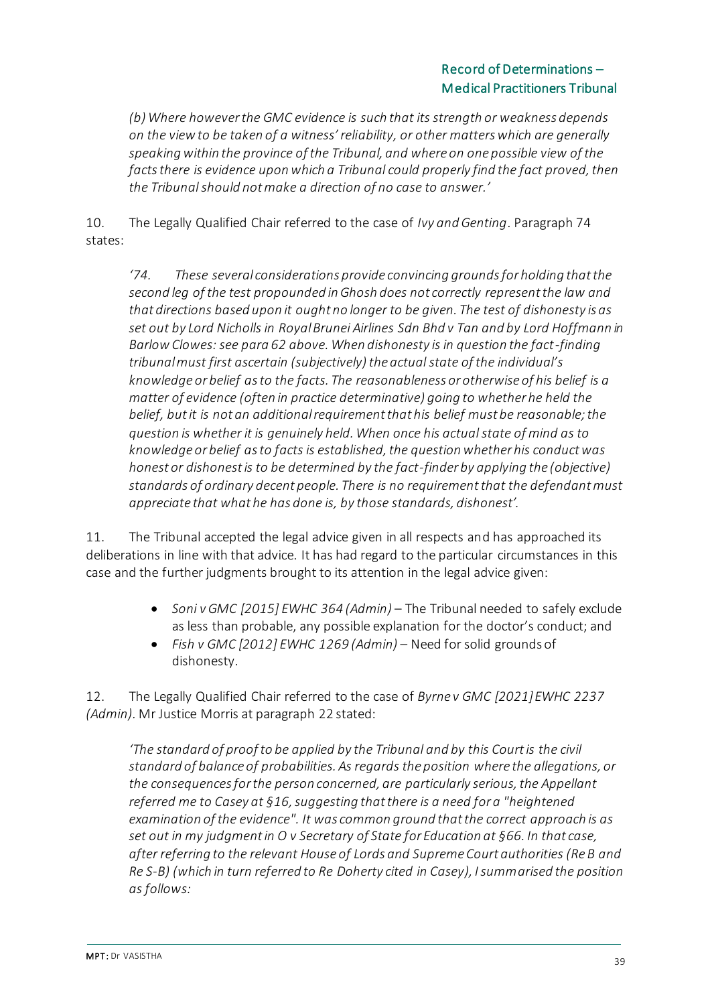*(b) Where however the GMC evidence is such that its strength or weakness depends on the view to be taken of a witness' reliability, or other matters which are generally speaking within the province of the Tribunal, and where on one possible view of the*  facts there is evidence upon which a Tribunal could properly find the fact proved, then *the Tribunal should not make a direction of no case to answer.'*

10. The Legally Qualified Chair referred to the case of *Ivy and Genting*. Paragraph 74 states:

*'74. These several considerations provide convincing grounds for holding that the second leg of the test propounded in Ghosh does not correctly represent the law and that directions based upon it ought no longer to be given. The test of dishonesty is as set out by Lord Nicholls in Royal Brunei Airlines Sdn Bhd v Tan and by Lord Hoffmann in Barlow Clowes: see para 62 above. When dishonesty is in question the fact-finding tribunal must first ascertain (subjectively) the actual state of the individual's knowledge or belief as to the facts. The reasonableness or otherwise of his belief is a matter of evidence (often in practice determinative) going to whether he held the belief, but it is not an additional requirement that his belief must be reasonable; the question is whether it is genuinely held. When once his actual state of mind as to knowledge or belief as to facts is established, the question whether his conduct was honest or dishonest is to be determined by the fact-finder by applying the (objective) standards of ordinary decent people. There is no requirement that the defendant must appreciate that what he has done is, by those standards, dishonest'.*

11. The Tribunal accepted the legal advice given in all respects and has approached its deliberations in line with that advice. It has had regard to the particular circumstances in this case and the further judgments brought to its attention in the legal advice given:

- *Soni v GMC [2015] EWHC 364 (Admin)* The Tribunal needed to safely exclude as less than probable, any possible explanation for the doctor's conduct; and
- *Fish v GMC [2012] EWHC 1269 (Admin)* Need for solid grounds of dishonesty.

12. The Legally Qualified Chair referred to the case of *Byrne v GMC [2021] EWHC 2237 (Admin).* Mr Justice Morris at paragraph 22 stated:

*'The standard of proof to be applied by the Tribunal and by this Court is the civil standard of balance of probabilities. As regards the position where the allegations, or the consequences for the person concerned, are particularly serious, the Appellant referred me to Casey at §16, suggesting that there is a need for a "heightened examination of the evidence". It was common ground that the correct approach is as set out in my judgment in O v Secretary of State for Education at §66. In that case, after referring to the relevant House of Lords and Supreme Court authorities (Re B and Re S-B) (which in turn referred to Re Doherty cited in Casey), I summarised the position as follows:*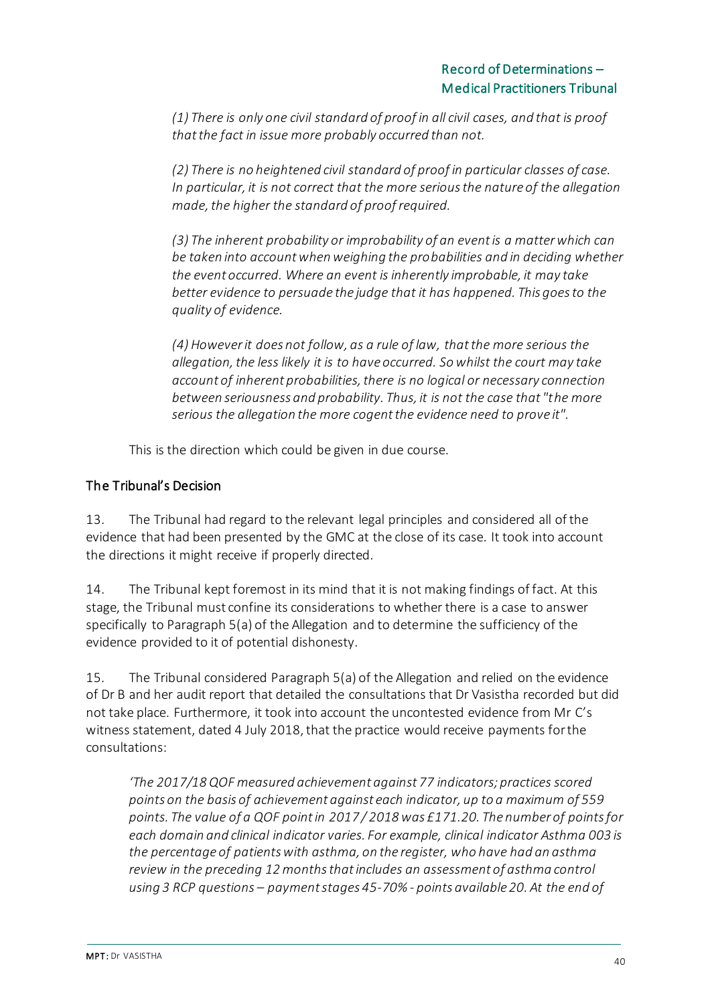*(1) There is only one civil standard of proof in all civil cases, and that is proof that the fact in issue more probably occurred than not.*

*(2) There is no heightened civil standard of proof in particular classes of case. In particular, it is not correct that the more serious the nature of the allegation made, the higher the standard of proof required.*

*(3) The inherent probability or improbability of an event is a matter which can be taken into account when weighing the probabilities and in deciding whether the event occurred. Where an event is inherently improbable, it may take better evidence to persuade the judge that it has happened. This goes to the quality of evidence.*

*(4) However it does not follow, as a rule of law, that the more serious the allegation, the less likely it is to have occurred. So whilst the court may take account of inherent probabilities, there is no logical or necessary connection between seriousness and probability. Thus, it is not the case that "the more serious the allegation the more cogent the evidence need to prove it".*

This is the direction which could be given in due course.

### The Tribunal's Decision

13. The Tribunal had regard to the relevant legal principles and considered all of the evidence that had been presented by the GMC at the close of its case. It took into account the directions it might receive if properly directed.

14. The Tribunal kept foremost in its mind that it is not making findings of fact. At this stage, the Tribunal must confine its considerations to whether there is a case to answer specifically to Paragraph 5(a) of the Allegation and to determine the sufficiency of the evidence provided to it of potential dishonesty.

15. The Tribunal considered Paragraph 5(a) of the Allegation and relied on the evidence of Dr B and her audit report that detailed the consultations that Dr Vasistha recorded but did not take place. Furthermore, it took into account the uncontested evidence from Mr C's witness statement, dated 4 July 2018, that the practice would receive payments for the consultations:

*'The 2017/18 QOF measured achievement against 77 indicators; practices scored points on the basis of achievement against each indicator, up to a maximum of 559 points. The value of a QOF point in 2017 / 2018 was £171.20. The number of points for each domain and clinical indicator varies. For example, clinical indicator Asthma 003 is the percentage of patients with asthma, on the register, who have had an asthma review in the preceding 12 months that includes an assessment of asthma control using 3 RCP questions – payment stages 45-70% - points available 20. At the end of*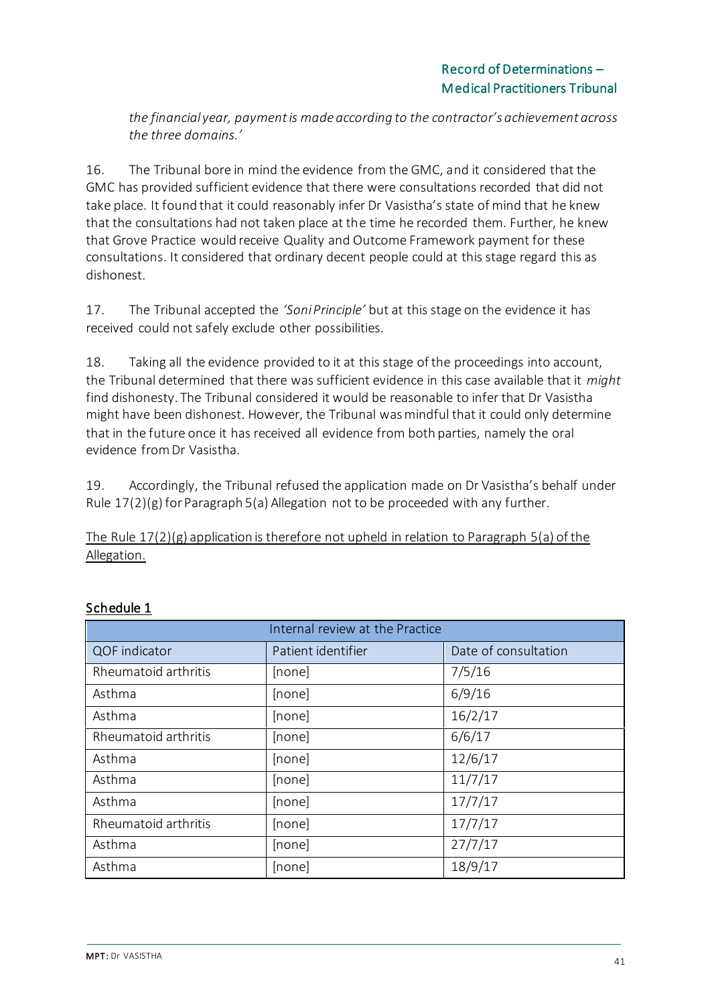*the financial year, payment is made according to the contractor's achievement across the three domains.'*

16. The Tribunal bore in mind the evidence from the GMC, and it considered that the GMC has provided sufficient evidence that there were consultations recorded that did not take place. It found that it could reasonably infer Dr Vasistha's state of mind that he knew that the consultations had not taken place at the time he recorded them. Further, he knew that Grove Practice would receive Quality and Outcome Framework payment for these consultations. It considered that ordinary decent people could at this stage regard this as dishonest.

17. The Tribunal accepted the *'Soni Principle'* but at this stage on the evidence it has received could not safely exclude other possibilities.

18. Taking all the evidence provided to it at this stage of the proceedings into account, the Tribunal determined that there was sufficient evidence in this case available that it *might* find dishonesty. The Tribunal considered it would be reasonable to infer that Dr Vasistha might have been dishonest. However, the Tribunal was mindful that it could only determine that in the future once it has received all evidence from both parties, namely the oral evidence from Dr Vasistha.

19. Accordingly, the Tribunal refused the application made on Dr Vasistha's behalf under Rule  $17(2)(g)$  for Paragraph 5(a) Allegation not to be proceeded with any further.

The Rule 17(2)(g) application is therefore not upheld in relation to Paragraph 5(a) of the Allegation.

| Internal review at the Practice |                    |                      |
|---------------------------------|--------------------|----------------------|
| QOF indicator                   | Patient identifier | Date of consultation |
| Rheumatoid arthritis            | [none]             | 7/5/16               |
| Asthma                          | [none]             | 6/9/16               |
| Asthma                          | [none]             | 16/2/17              |
| Rheumatoid arthritis            | [none]             | 6/6/17               |
| Asthma                          | [none]             | 12/6/17              |
| Asthma                          | [none]             | 11/7/17              |
| Asthma                          | [none]             | 17/7/17              |
| Rheumatoid arthritis            | [none]             | 17/7/17              |
| Asthma                          | [none]             | 27/7/17              |
| Asthma                          | [none]             | 18/9/17              |

## Schedule 1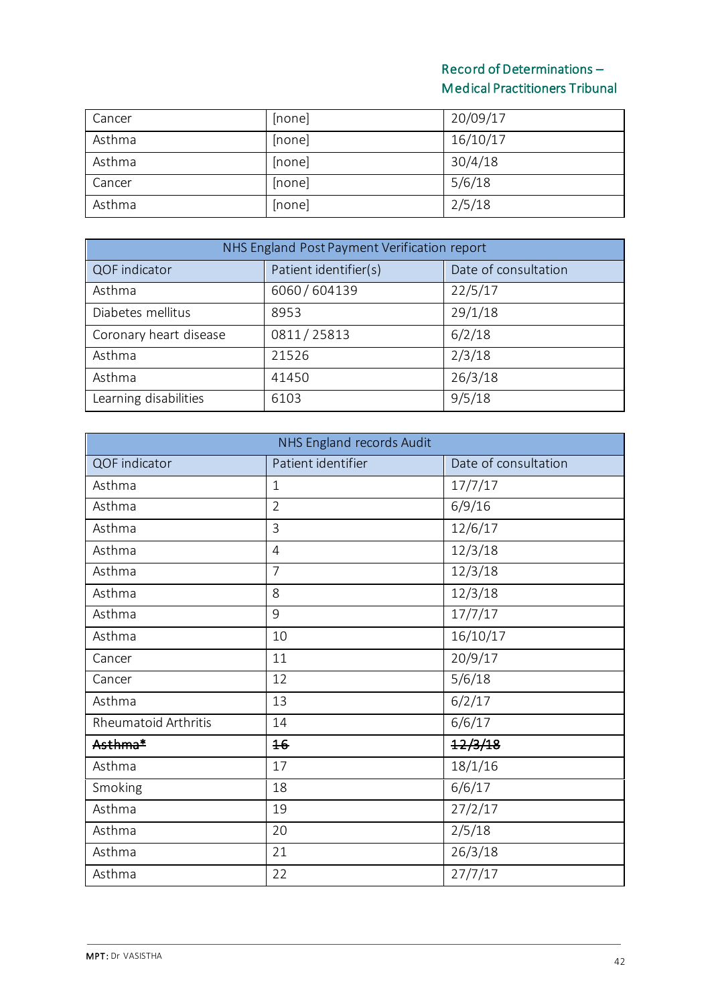| Cancer | [none] | 20/09/17 |
|--------|--------|----------|
| Asthma | [none] | 16/10/17 |
| Asthma | [none] | 30/4/18  |
| Cancer | [none] | 5/6/18   |
| Asthma | [none] | 2/5/18   |

| NHS England Post Payment Verification report |                       |                      |
|----------------------------------------------|-----------------------|----------------------|
| QOF indicator                                | Patient identifier(s) | Date of consultation |
| Asthma                                       | 6060/604139           | 22/5/17              |
| Diabetes mellitus                            | 8953                  | 29/1/18              |
| Coronary heart disease                       | 0811/25813            | 6/2/18               |
| Asthma                                       | 21526                 | 2/3/18               |
| Asthma                                       | 41450                 | 26/3/18              |
| Learning disabilities                        | 6103                  | 9/5/18               |

| NHS England records Audit   |                    |                      |
|-----------------------------|--------------------|----------------------|
| QOF indicator               | Patient identifier | Date of consultation |
| Asthma                      | $\mathbf{1}$       | 17/7/17              |
| Asthma                      | $\overline{2}$     | 6/9/16               |
| Asthma                      | $\overline{3}$     | 12/6/17              |
| Asthma                      | $\overline{4}$     | 12/3/18              |
| Asthma                      | $\overline{7}$     | 12/3/18              |
| Asthma                      | 8                  | 12/3/18              |
| Asthma                      | 9                  | 17/7/17              |
| Asthma                      | 10                 | 16/10/17             |
| Cancer                      | 11                 | 20/9/17              |
| Cancer                      | 12                 | 5/6/18               |
| Asthma                      | 13                 | 6/2/17               |
| <b>Rheumatoid Arthritis</b> | 14                 | 6/6/17               |
| Asthma*                     | 16                 | 12/3/18              |
| Asthma                      | 17                 | 18/1/16              |
| Smoking                     | 18                 | 6/6/17               |
| Asthma                      | 19                 | 27/2/17              |
| Asthma                      | 20                 | 2/5/18               |
| Asthma                      | 21                 | 26/3/18              |
| Asthma                      | 22                 | 27/7/17              |